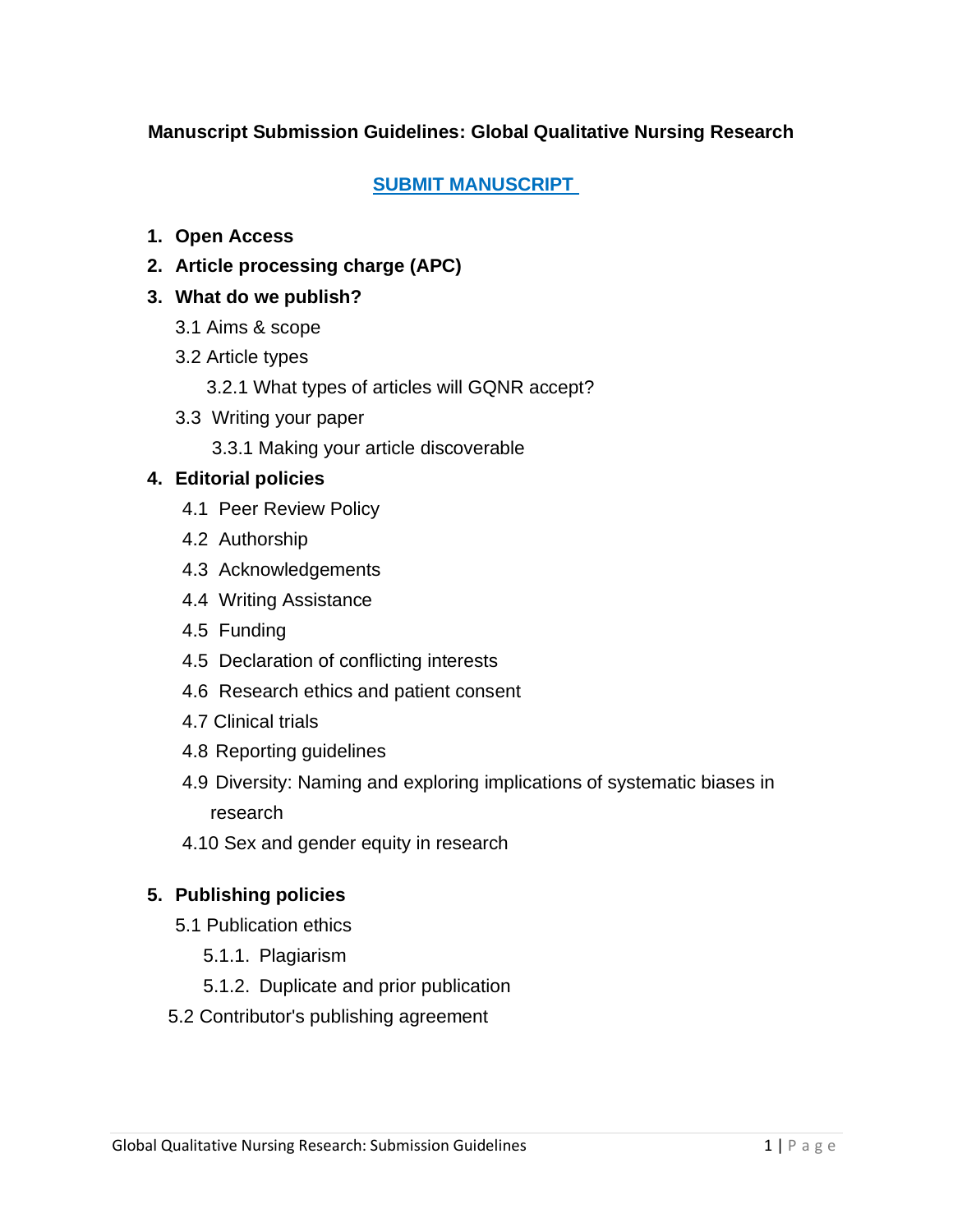## **Manuscript Submission Guidelines: Global Qualitative Nursing Research**

#### **[SUBMIT MANUSCRIPT](https://mc.manuscriptcentral.com/gqn)**

- **1. [Open Access](https://journals.sagepub.com/author-instructions/GQN#OpenAccess)**
- **2. [Article processing charge \(APC\)](https://journals.sagepub.com/author-instructions/GQN#ArticleProcessingCharge)**
- **3. [W](https://journals.sagepub.com/author-instructions/GQN#ArticleTypes)[hat do we publish?](https://journals.sagepub.com/author-instructions/GQN#WhatDoWePublish)**
	- 3.1 [Aims & scope](https://journals.sagepub.com/author-instructions/GQN#AimsAndScope)
	- 3.2 [Article types](https://journals.sagepub.com/author-instructions/GQN#ArticleTypes)
		- 3.2.1 [What](https://journals.sagepub.com/author-instructions/GQN#WritingYourPaper) types of articles will GQNR accept?
	- 3.3 [Writing your paper](https://journals.sagepub.com/author-instructions/GQN#ManuscriptPreparationGuidelines) 
		- 3.3.1 [Making your article discoverable](https://journals.sagepub.com/author-instructions/GQN#DiversityNamingAndExploringImplicationsOfSystemicBiasesInResearch)

#### **4. [Editorial policies](https://journals.sagepub.com/author-instructions/GQN#EditorialPolicies)**

- 4.1 [Peer Review Policy](https://journals.sagepub.com/author-instructions/GQN#PeerReviewPolicy)
- 4.2 [Authorship](https://journals.sagepub.com/author-instructions/GQN#Authorship)
- 4.3 [Acknowledgements](https://journals.sagepub.com/author-instructions/GQN#Acknowledgements)
- 4.4 [Writing Assistance](https://journals.sagepub.com/author-instructions/GQN#WritingAssistance)
- 4.5 [Funding](https://journals.sagepub.com/author-instructions/GQN#Funding)
- 4.5 [Declaration of conflicting interests](https://journals.sagepub.com/author-instructions/GQN#DeclarationOfConflictingInterests)
- 4.6 [Research ethics and patient consent](https://journals.sagepub.com/author-instructions/GQN#ResearchEthics)
- 4.7 [Clinical trials](https://journals.sagepub.com/author-instructions/GQN#ClinicalTrials)
- 4.8 Reporting guidelines
- 4.9 Diversity: Naming and exploring implications of systematic biases in research
- 4.10 Sex and gender equity in research

#### **5. [Publishing policies](https://journals.sagepub.com/author-instructions/GQN#PublishingPolicies)**

- 5.1 [Publication ethics](https://journals.sagepub.com/author-instructions/GQN#PublicationEthics)
	- 5.1.1. Plagiarism
	- 5.1.2. Duplicate and prior publication
- 5.2 [Contributor's publishing agreement](https://journals.sagepub.com/author-instructions/GQN#ContributorsPublishingAgreement)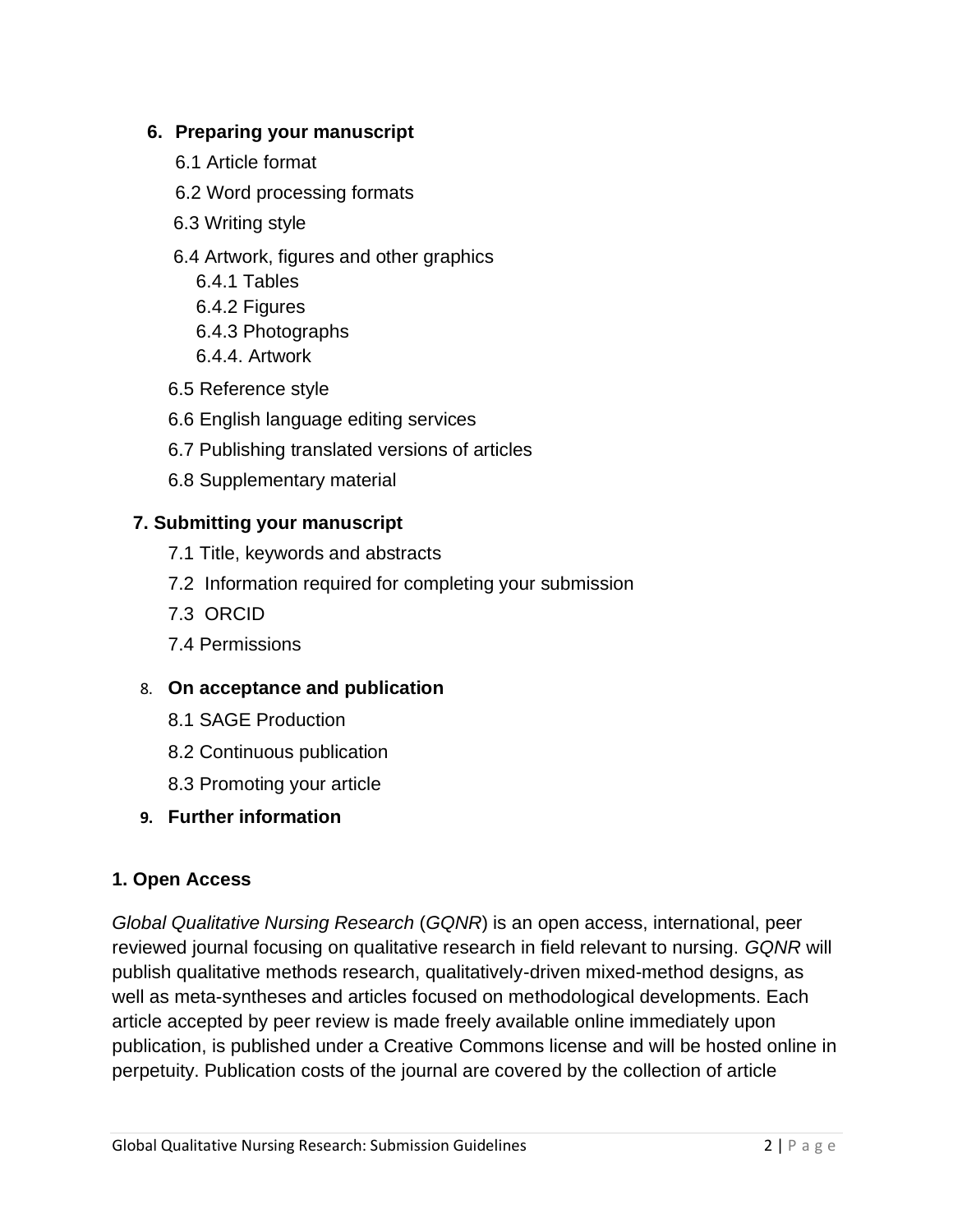### **6. [Preparing your manuscript](https://journals.sagepub.com/author-instructions/GQN#ManuscriptPrep)**

- 6.1 [Article format](https://journals.sagepub.com/author-instructions/GQN#WordProcessingFormat)
- 6.2 Word processing formats
- 6.3 Writing style
- 6.4 [Artwork, figures and other graphics](https://journals.sagepub.com/author-instructions/GQN#ArtworkFiguresOtherGraphics)
	- 6.4.1 Tables
	- 6.4.2 Figures
	- 6.4.3 Photographs
	- 6.4.4. Artwork
- 6.5 [Reference style](https://journals.sagepub.com/author-instructions/GQN#ReferenceStyle)
- 6.6 [English language editing services](https://journals.sagepub.com/author-instructions/GQN#EnglishLanguageEditing)
- 6.7 Publishing translated versions of articles
- 6.8 [Supplementary material](https://journals.sagepub.com/author-instructions/GQN#SupplementaryMaterial)

#### **7. [Submitting your manuscript](https://journals.sagepub.com/author-instructions/GQN#SubmittingYourManuscript)**

- 7.1 [Title, keywords and abstracts](https://journals.sagepub.com/author-instructions/GQN#TitleKeywordsAndAbstracts)
- 7.2 [Information required for completing your submission](https://journals.sagepub.com/author-instructions/GQN#InformationRequiredForCompletingYourSubmission)
- 7.3 [ORCID](https://journals.sagepub.com/author-instructions/GQN#ORCID)
- 7.4 [Permissions](https://journals.sagepub.com/author-instructions/GQN#Permissions)
- 8. **[On acceptance and publication](https://journals.sagepub.com/author-instructions/GQN#OnAcceptance)**
	- 8.1 [SAGE Production](https://journals.sagepub.com/author-instructions/GQN#SAGEProduction)
	- 8.2 [Continuous publication](https://journals.sagepub.com/author-instructions/GQN#OnlinePublication)
	- 8.3 [Promoting your article](https://journals.sagepub.com/author-instructions/GQN#PromotingYourArticle)
- **9. [Further information](https://journals.sagepub.com/author-instructions/GQN#FurtherInformation)**

#### **1. Open Access**

*Global Qualitative Nursing Research* (*GQNR*) is an open access, international, peer reviewed journal focusing on qualitative research in field relevant to nursing. *GQNR* will publish qualitative methods research, qualitatively-driven mixed-method designs, as well as meta-syntheses and articles focused on methodological developments. Each article accepted by peer review is made freely available online immediately upon publication, is published under a Creative Commons license and will be hosted online in perpetuity. Publication costs of the journal are covered by the collection of article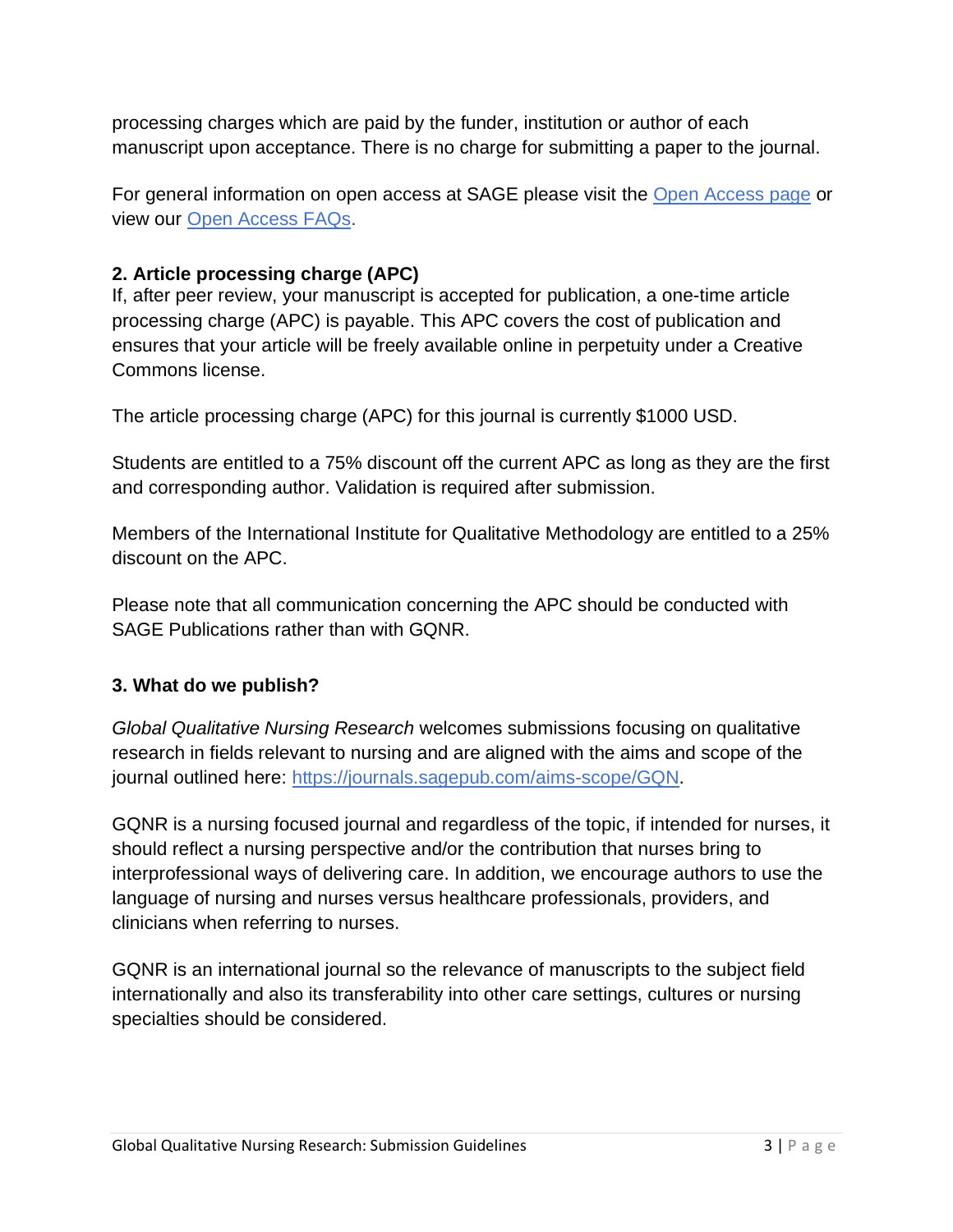processing charges which are paid by the funder, institution or author of each manuscript upon acceptance. There is no charge for submitting a paper to the journal.

For general information on open access at SAGE please visit the [Open Access page](https://www.sagepub.com/open-access-at-sage) or view our [Open Access FAQs.](https://www.sagepub.com/faqs)

## **2. Article processing charge (APC)**

If, after peer review, your manuscript is accepted for publication, a one-time article processing charge (APC) is payable. This APC covers the cost of publication and ensures that your article will be freely available online in perpetuity under a Creative Commons license.

The article processing charge (APC) for this journal is currently \$1000 USD.

Students are entitled to a 75% discount off the current APC as long as they are the first and corresponding author. Validation is required after submission.

Members of the International Institute for Qualitative Methodology are entitled to a 25% discount on the APC.

Please note that all communication concerning the APC should be conducted with SAGE Publications rather than with GQNR.

#### **3. What do we publish?**

*Global Qualitative Nursing Research* welcomes submissions focusing on qualitative research in fields relevant to nursing and are aligned with the aims and scope of the journal outlined here: [https://journals.sagepub.com/aims-scope/GQN.](https://journals.sagepub.com/aims-scope/GQN)

GQNR is a nursing focused journal and regardless of the topic, if intended for nurses, it should reflect a nursing perspective and/or the contribution that nurses bring to interprofessional ways of delivering care. In addition, we encourage authors to use the language of nursing and nurses versus healthcare professionals, providers, and clinicians when referring to nurses.

GQNR is an international journal so the relevance of manuscripts to the subject field internationally and also its transferability into other care settings, cultures or nursing specialties should be considered.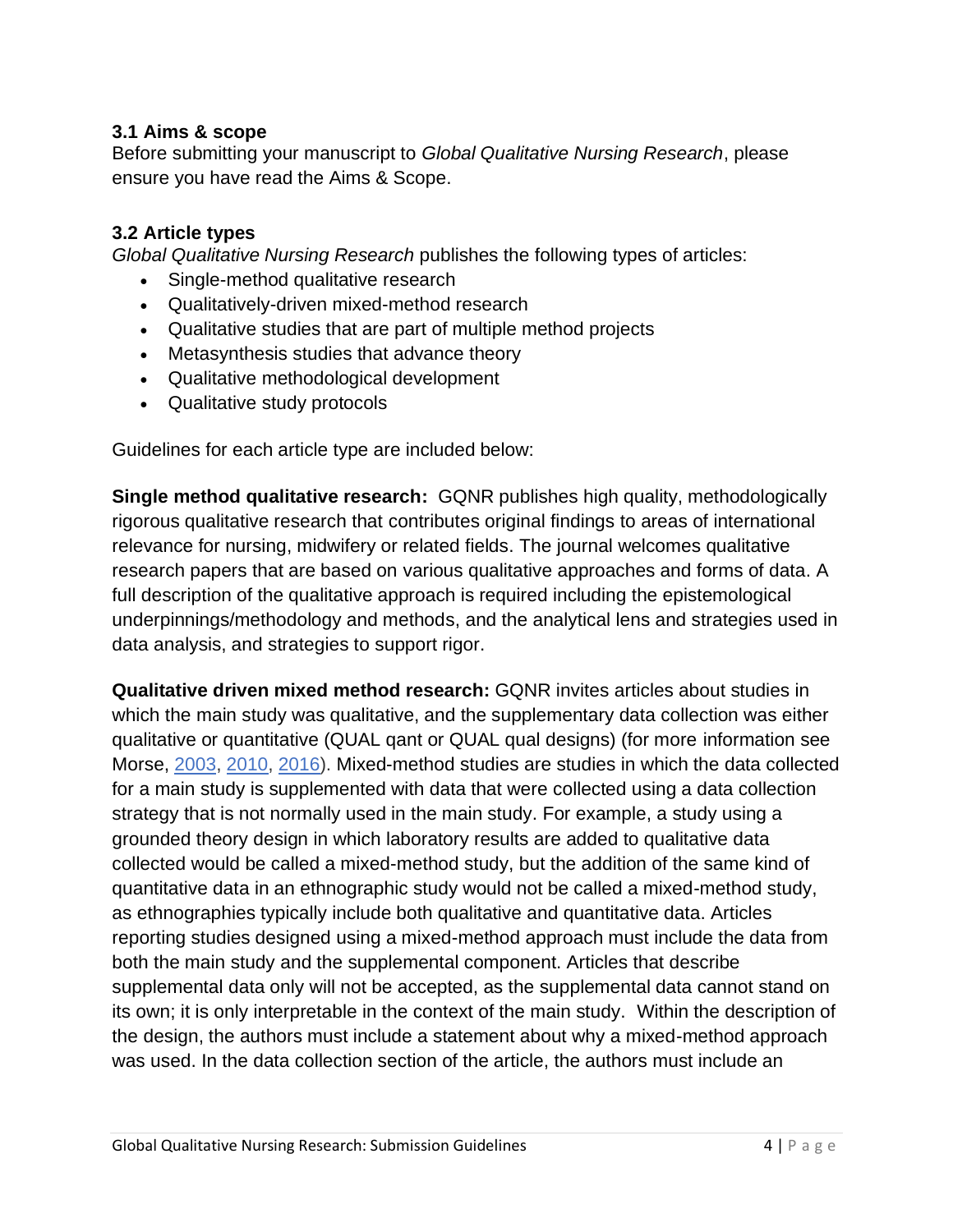### **3.1 Aims & scope**

Before submitting your manuscript to *Global Qualitative Nursing Research*, please ensure you have read the Aims & Scope.

#### **3.2 Article types**

*Global Qualitative Nursing Research* publishes the following types of articles:

- Single-method qualitative research
- Qualitatively-driven mixed-method research
- Qualitative studies that are part of multiple method projects
- Metasynthesis studies that advance theory
- Qualitative methodological development
- Qualitative study protocols

Guidelines for each article type are included below:

**Single method qualitative research:** GQNR publishes high quality, methodologically rigorous qualitative research that contributes original findings to areas of international relevance for nursing, midwifery or related fields. The journal welcomes qualitative research papers that are based on various qualitative approaches and forms of data. A full description of the qualitative approach is required including the epistemological underpinnings/methodology and methods, and the analytical lens and strategies used in data analysis, and strategies to support rigor.

**Qualitative driven mixed method research:** GQNR invites articles about studies in which the main study was qualitative, and the supplementary data collection was either qualitative or quantitative (QUAL qant or QUAL qual designs) (for more information see Morse, [2003,](https://methods.sagepub.com/book/sage-handbook-of-mixed-methods-social-behavioral-research-2e) [2010,](https://journals.sagepub.com/doi/10.1177/1077800410364741) [2016\)](https://www.worldcat.org/title/essentials-of-qualitatively-driven-mixed-method-designs/oclc/928613390). Mixed-method studies are studies in which the data collected for a main study is supplemented with data that were collected using a data collection strategy that is not normally used in the main study. For example, a study using a grounded theory design in which laboratory results are added to qualitative data collected would be called a mixed-method study, but the addition of the same kind of quantitative data in an ethnographic study would not be called a mixed-method study, as ethnographies typically include both qualitative and quantitative data. Articles reporting studies designed using a mixed-method approach must include the data from both the main study and the supplemental component. Articles that describe supplemental data only will not be accepted, as the supplemental data cannot stand on its own; it is only interpretable in the context of the main study. Within the description of the design, the authors must include a statement about why a mixed-method approach was used. In the data collection section of the article, the authors must include an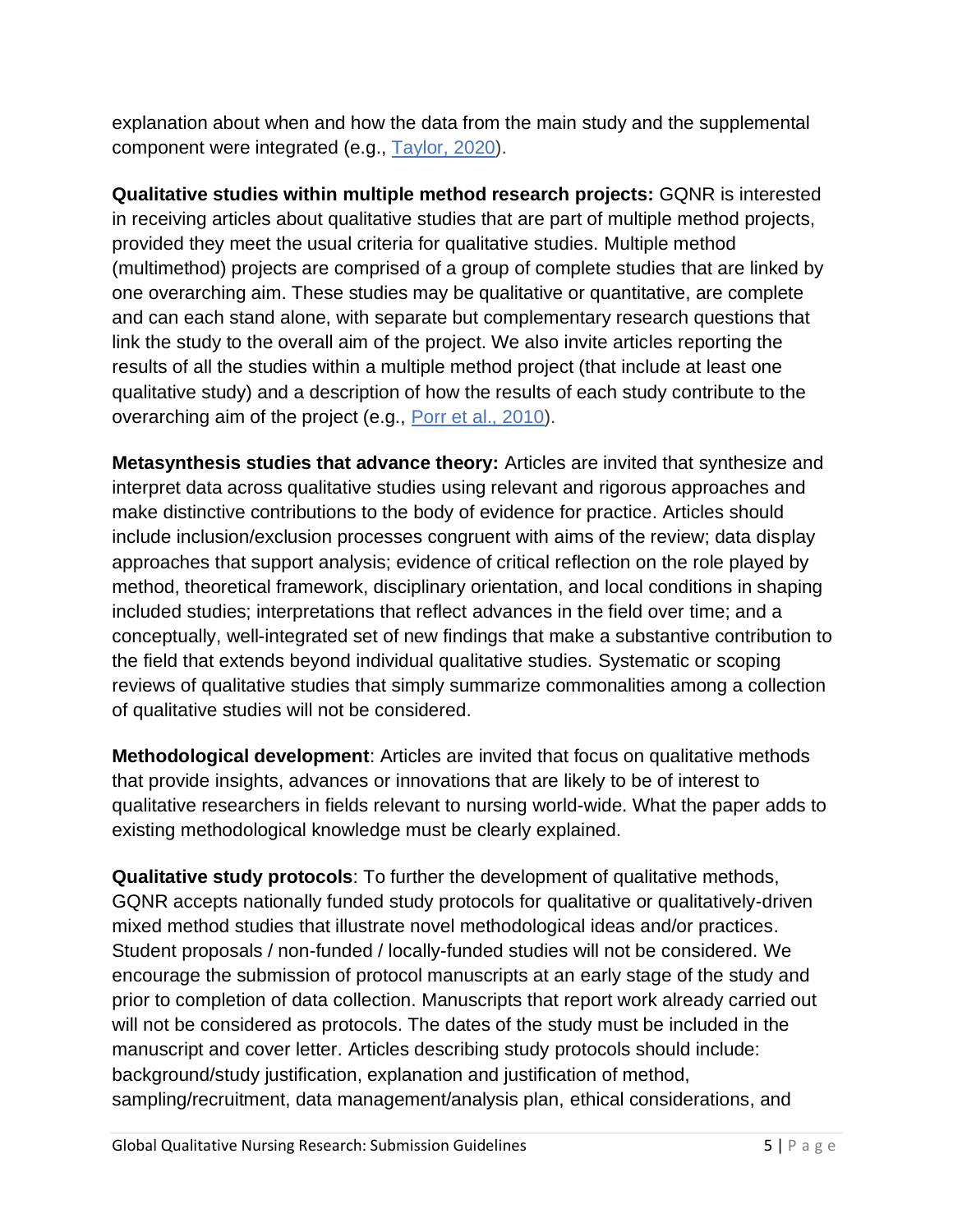explanation about when and how the data from the main study and the supplemental component were integrated (e.g., [Taylor, 2020\)](https://journals.sagepub.com/doi/full/10.1177/2333393619900893).

**Qualitative studies within multiple method research projects:** GQNR is interested in receiving articles about qualitative studies that are part of multiple method projects, provided they meet the usual criteria for qualitative studies. Multiple method (multimethod) projects are comprised of a group of complete studies that are linked by one overarching aim. These studies may be qualitative or quantitative, are complete and can each stand alone, with separate but complementary research questions that link the study to the overall aim of the project. We also invite articles reporting the results of all the studies within a multiple method project (that include at least one qualitative study) and a description of how the results of each study contribute to the overarching aim of the project (e.g., [Porr et al., 2010\)](https://journals.sagepub.com/doi/abs/10.1177/1049732310370841).

**Metasynthesis studies that advance theory:** Articles are invited that synthesize and interpret data across qualitative studies using relevant and rigorous approaches and make distinctive contributions to the body of evidence for practice. Articles should include inclusion/exclusion processes congruent with aims of the review; data display approaches that support analysis; evidence of critical reflection on the role played by method, theoretical framework, disciplinary orientation, and local conditions in shaping included studies; interpretations that reflect advances in the field over time; and a conceptually, well-integrated set of new findings that make a substantive contribution to the field that extends beyond individual qualitative studies. Systematic or scoping reviews of qualitative studies that simply summarize commonalities among a collection of qualitative studies will not be considered.

**Methodological development**: Articles are invited that focus on qualitative methods that provide insights, advances or innovations that are likely to be of interest to qualitative researchers in fields relevant to nursing world-wide. What the paper adds to existing methodological knowledge must be clearly explained.

**Qualitative study protocols**: To further the development of qualitative methods, GQNR accepts nationally funded study protocols for qualitative or qualitatively-driven mixed method studies that illustrate novel methodological ideas and/or practices. Student proposals / non-funded / locally-funded studies will not be considered. We encourage the submission of protocol manuscripts at an early stage of the study and prior to completion of data collection. Manuscripts that report work already carried out will not be considered as protocols. The dates of the study must be included in the manuscript and cover letter. Articles describing study protocols should include: background/study justification, explanation and justification of method, sampling/recruitment, data management/analysis plan, ethical considerations, and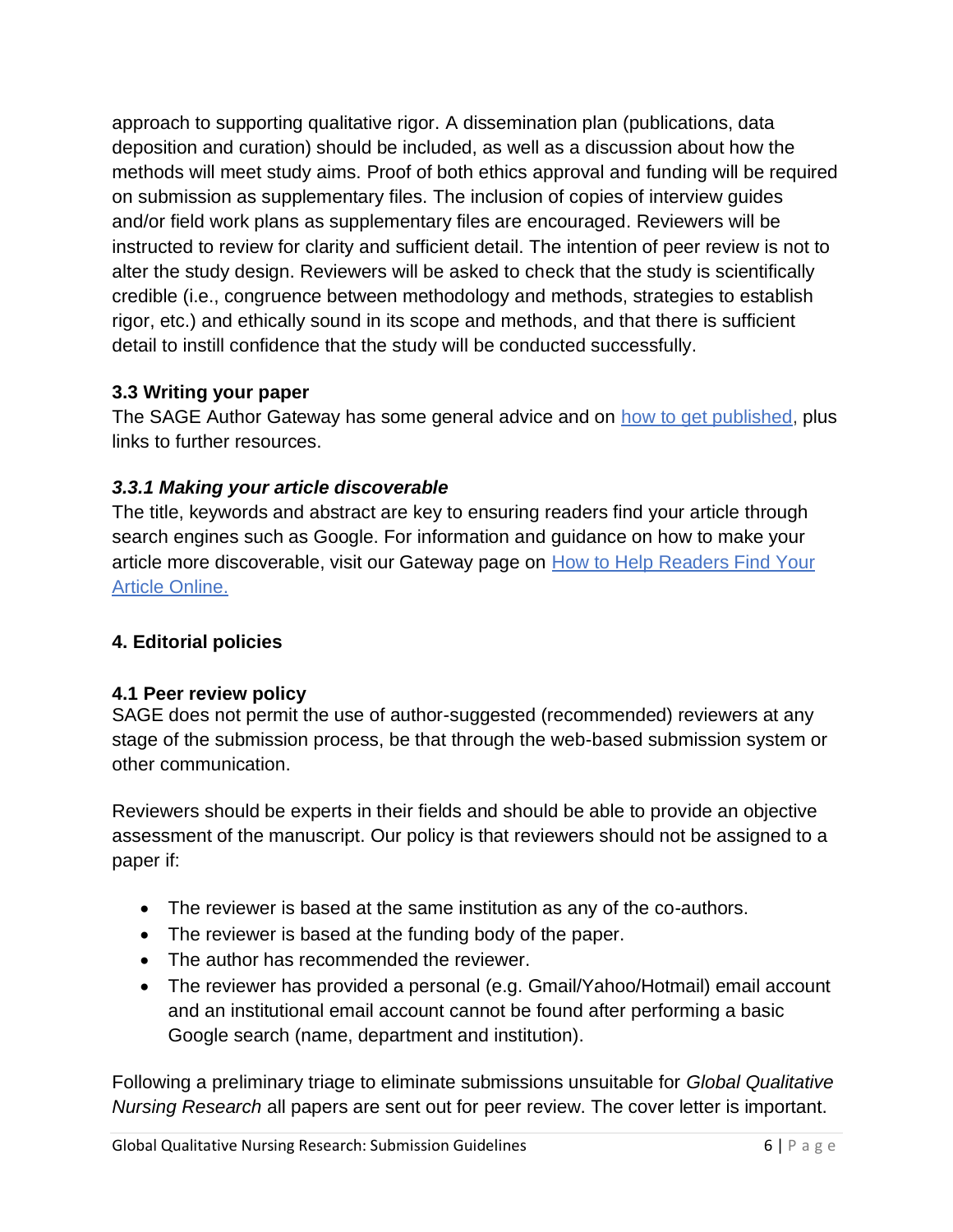approach to supporting qualitative rigor. A dissemination plan (publications, data deposition and curation) should be included, as well as a discussion about how the methods will meet study aims. Proof of both ethics approval and funding will be required on submission as supplementary files. The inclusion of copies of interview guides and/or field work plans as supplementary files are encouraged. Reviewers will be instructed to review for clarity and sufficient detail. The intention of peer review is not to alter the study design. Reviewers will be asked to check that the study is scientifically credible (i.e., congruence between methodology and methods, strategies to establish rigor, etc.) and ethically sound in its scope and methods, and that there is sufficient detail to instill confidence that the study will be conducted successfully.

# **3.3 Writing your paper**

The SAGE Author Gateway has some general advice and on [how to get published,](https://www.sagepub.com/how-to-get-published) plus links to further resources.

# *3.3.1 Making your article discoverable*

The title, keywords and abstract are key to ensuring readers find your article through search engines such as Google. For information and guidance on how to make your article more discoverable, visit our Gateway page on [How to Help Readers Find Your](https://www.sagepub.com/help-readers-find-your-article)  [Article Online.](https://www.sagepub.com/help-readers-find-your-article)

# **4. Editorial policies**

# **4.1 Peer review policy**

SAGE does not permit the use of author-suggested (recommended) reviewers at any stage of the submission process, be that through the web-based submission system or other communication.

Reviewers should be experts in their fields and should be able to provide an objective assessment of the manuscript. Our policy is that reviewers should not be assigned to a paper if:

- The reviewer is based at the same institution as any of the co-authors.
- The reviewer is based at the funding body of the paper.
- The author has recommended the reviewer.
- The reviewer has provided a personal (e.g. Gmail/Yahoo/Hotmail) email account and an institutional email account cannot be found after performing a basic Google search (name, department and institution).

Following a preliminary triage to eliminate submissions unsuitable for *Global Qualitative Nursing Research* all papers are sent out for peer review. The cover letter is important.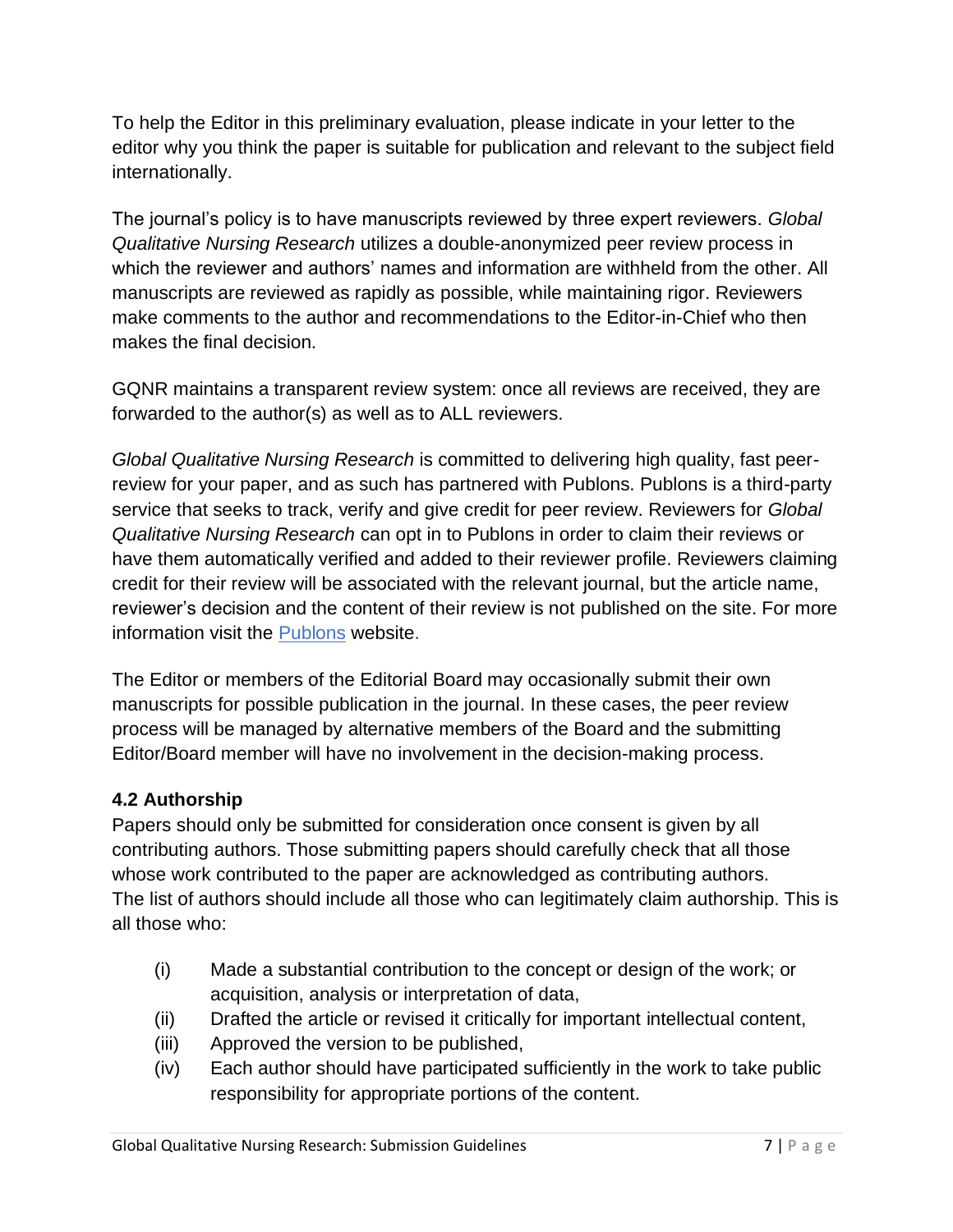To help the Editor in this preliminary evaluation, please indicate in your letter to the editor why you think the paper is suitable for publication and relevant to the subject field internationally.

The journal's policy is to have manuscripts reviewed by three expert reviewers. *Global Qualitative Nursing Research* utilizes a double-anonymized peer review process in which the reviewer and authors' names and information are withheld from the other. All manuscripts are reviewed as rapidly as possible, while maintaining rigor. Reviewers make comments to the author and recommendations to the Editor-in-Chief who then makes the final decision.

GQNR maintains a transparent review system: once all reviews are received, they are forwarded to the author(s) as well as to ALL reviewers.

*Global Qualitative Nursing Research* is committed to delivering high quality, fast peerreview for your paper, and as such has partnered with Publons. Publons is a third-party service that seeks to track, verify and give credit for peer review. Reviewers for *Global Qualitative Nursing Research* can opt in to Publons in order to claim their reviews or have them automatically verified and added to their reviewer profile. Reviewers claiming credit for their review will be associated with the relevant journal, but the article name, reviewer's decision and the content of their review is not published on the site. For more information visit the **[Publons](http://home.publons.com/)** website.

The Editor or members of the Editorial Board may occasionally submit their own manuscripts for possible publication in the journal. In these cases, the peer review process will be managed by alternative members of the Board and the submitting Editor/Board member will have no involvement in the decision-making process.

# **4.2 Authorship**

Papers should only be submitted for consideration once consent is given by all contributing authors. Those submitting papers should carefully check that all those whose work contributed to the paper are acknowledged as contributing authors. The list of authors should include all those who can legitimately claim authorship. This is all those who:

- (i) Made a substantial contribution to the concept or design of the work; or acquisition, analysis or interpretation of data,
- (ii) Drafted the article or revised it critically for important intellectual content,
- (iii) Approved the version to be published,
- (iv) Each author should have participated sufficiently in the work to take public responsibility for appropriate portions of the content.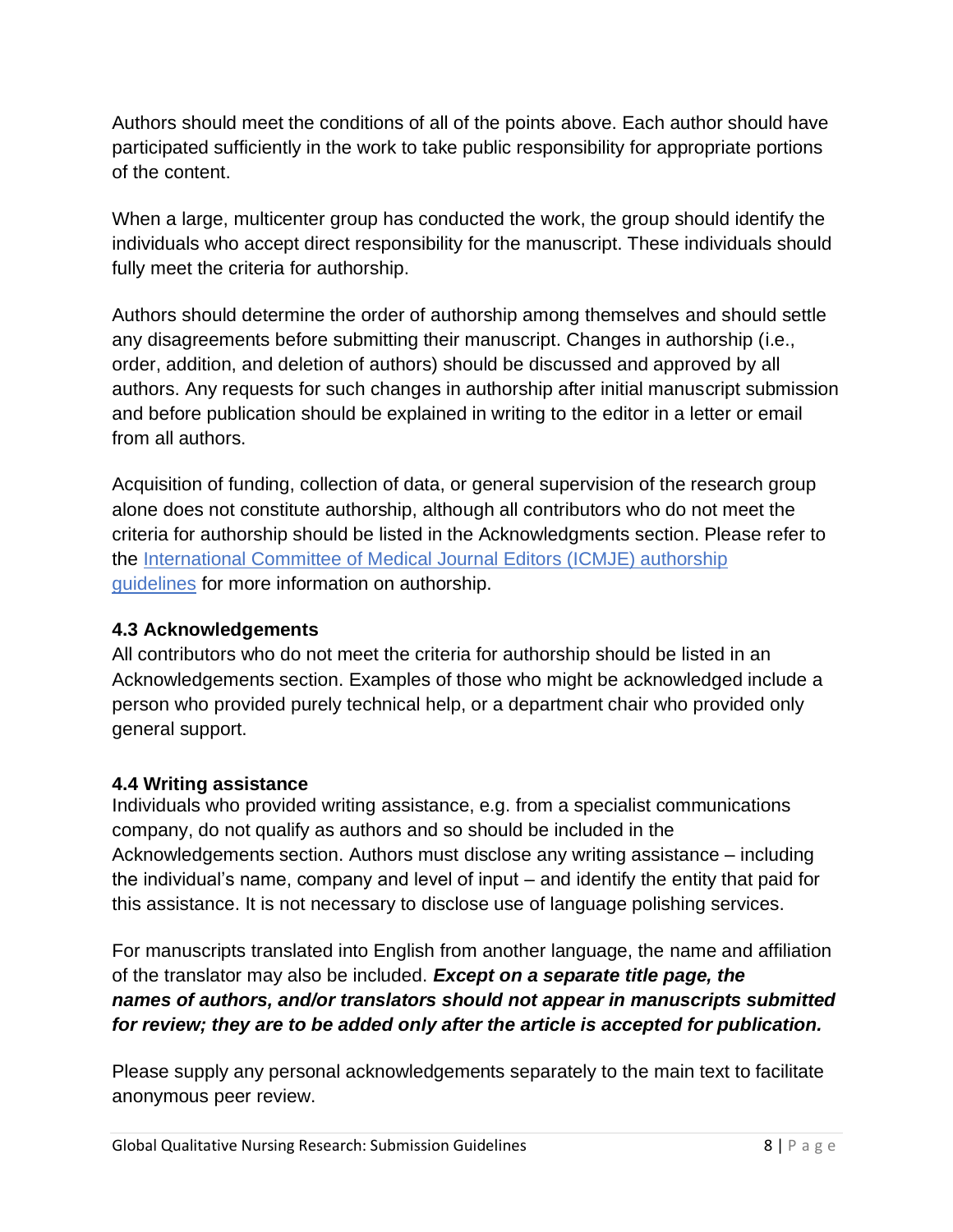Authors should meet the conditions of all of the points above. Each author should have participated sufficiently in the work to take public responsibility for appropriate portions of the content.

When a large, multicenter group has conducted the work, the group should identify the individuals who accept direct responsibility for the manuscript. These individuals should fully meet the criteria for authorship.

Authors should determine the order of authorship among themselves and should settle any disagreements before submitting their manuscript. Changes in authorship (i.e., order, addition, and deletion of authors) should be discussed and approved by all authors. Any requests for such changes in authorship after initial manuscript submission and before publication should be explained in writing to the editor in a letter or email from all authors.

Acquisition of funding, collection of data, or general supervision of the research group alone does not constitute authorship, although all contributors who do not meet the criteria for authorship should be listed in the Acknowledgments section. Please refer to the International Committee of [Medical Journal Editors \(ICMJE\) authorship](http://www.icmje.org/recommendations/browse/roles-and-responsibilities/defining-the-role-of-authors-and-contributors.html)  [guidelines](http://www.icmje.org/recommendations/browse/roles-and-responsibilities/defining-the-role-of-authors-and-contributors.html) for more information on authorship.

#### **4.3 Acknowledgements**

All contributors who do not meet the criteria for authorship should be listed in an Acknowledgements section. Examples of those who might be acknowledged include a person who provided purely technical help, or a department chair who provided only general support.

# **4.4 Writing assistance**

Individuals who provided writing assistance, e.g. from a specialist communications company, do not qualify as authors and so should be included in the Acknowledgements section. Authors must disclose any writing assistance – including the individual's name, company and level of input – and identify the entity that paid for this assistance. It is not necessary to disclose use of language polishing services.

For manuscripts translated into English from another language, the name and affiliation of the translator may also be included. *Except on a separate title page, the names of authors, and/or translators should not appear in manuscripts submitted for review; they are to be added only after the article is accepted for publication.*

Please supply any personal acknowledgements separately to the main text to facilitate anonymous peer review.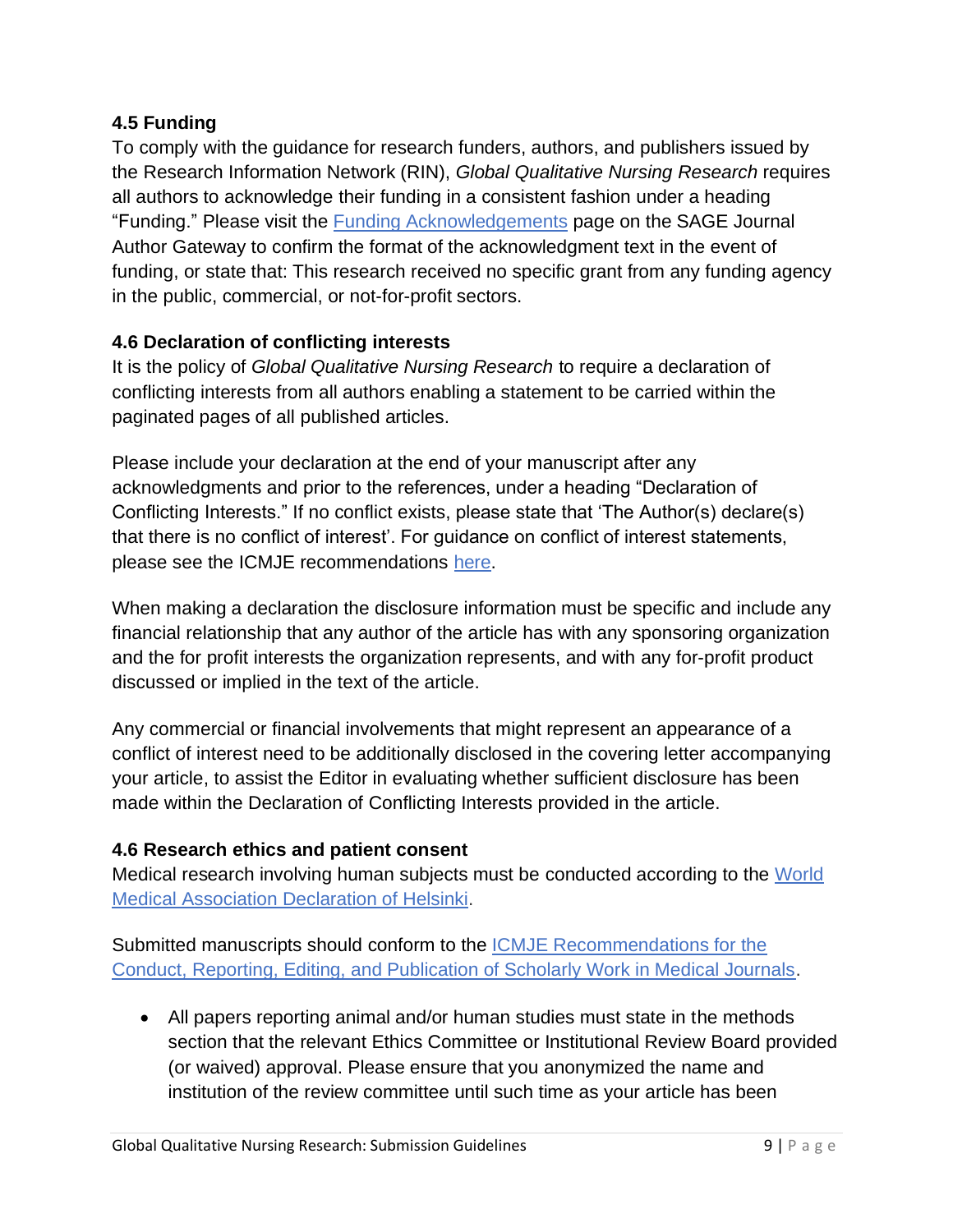### **4.5 Funding**

To comply with the guidance for research funders, authors, and publishers issued by the Research Information Network (RIN), *Global Qualitative Nursing Research* requires all authors to acknowledge their funding in a consistent fashion under a heading "Funding." Please visit the **Funding Acknowledgements** page on the SAGE Journal Author Gateway to confirm the format of the acknowledgment text in the event of funding, or state that: This research received no specific grant from any funding agency in the public, commercial, or not-for-profit sectors.

## **4.6 Declaration of conflicting interests**

It is the policy of *Global Qualitative Nursing Research* to require a declaration of conflicting interests from all authors enabling a statement to be carried within the paginated pages of all published articles.

Please include your declaration at the end of your manuscript after any acknowledgments and prior to the references, under a heading "Declaration of Conflicting Interests." If no conflict exists, please state that 'The Author(s) declare(s) that there is no conflict of interest'. For guidance on conflict of interest statements, please see the ICMJE recommendations [here.](http://www.icmje.org/recommendations/browse/roles-and-responsibilities/author-responsibilities--conflicts-of-interest.html#two)

When making a declaration the disclosure information must be specific and include any financial relationship that any author of the article has with any sponsoring organization and the for profit interests the organization represents, and with any for-profit product discussed or implied in the text of the article.

Any commercial or financial involvements that might represent an appearance of a conflict of interest need to be additionally disclosed in the covering letter accompanying your article, to assist the Editor in evaluating whether sufficient disclosure has been made within the Declaration of Conflicting Interests provided in the article.

# **4.6 Research ethics and patient consent**

Medical research involving human subjects must be conducted according to the [World](https://www.wma.net/policies-post/wma-declaration-of-helsinki-ethical-principles-for-medical-research-involving-human-subjects/)  Medical [Association Declaration of Helsinki.](https://www.wma.net/policies-post/wma-declaration-of-helsinki-ethical-principles-for-medical-research-involving-human-subjects/)

Submitted manuscripts should conform to the [ICMJE Recommendations for the](http://www.icmje.org/icmje-recommendations.pdf)  Conduct, [Reporting, Editing, and Publication of Scholarly Work in Medical Journals.](http://www.icmje.org/icmje-recommendations.pdf)

• All papers reporting animal and/or human studies must state in the methods section that the relevant Ethics Committee or Institutional Review Board provided (or waived) approval. Please ensure that you anonymized the name and institution of the review committee until such time as your article has been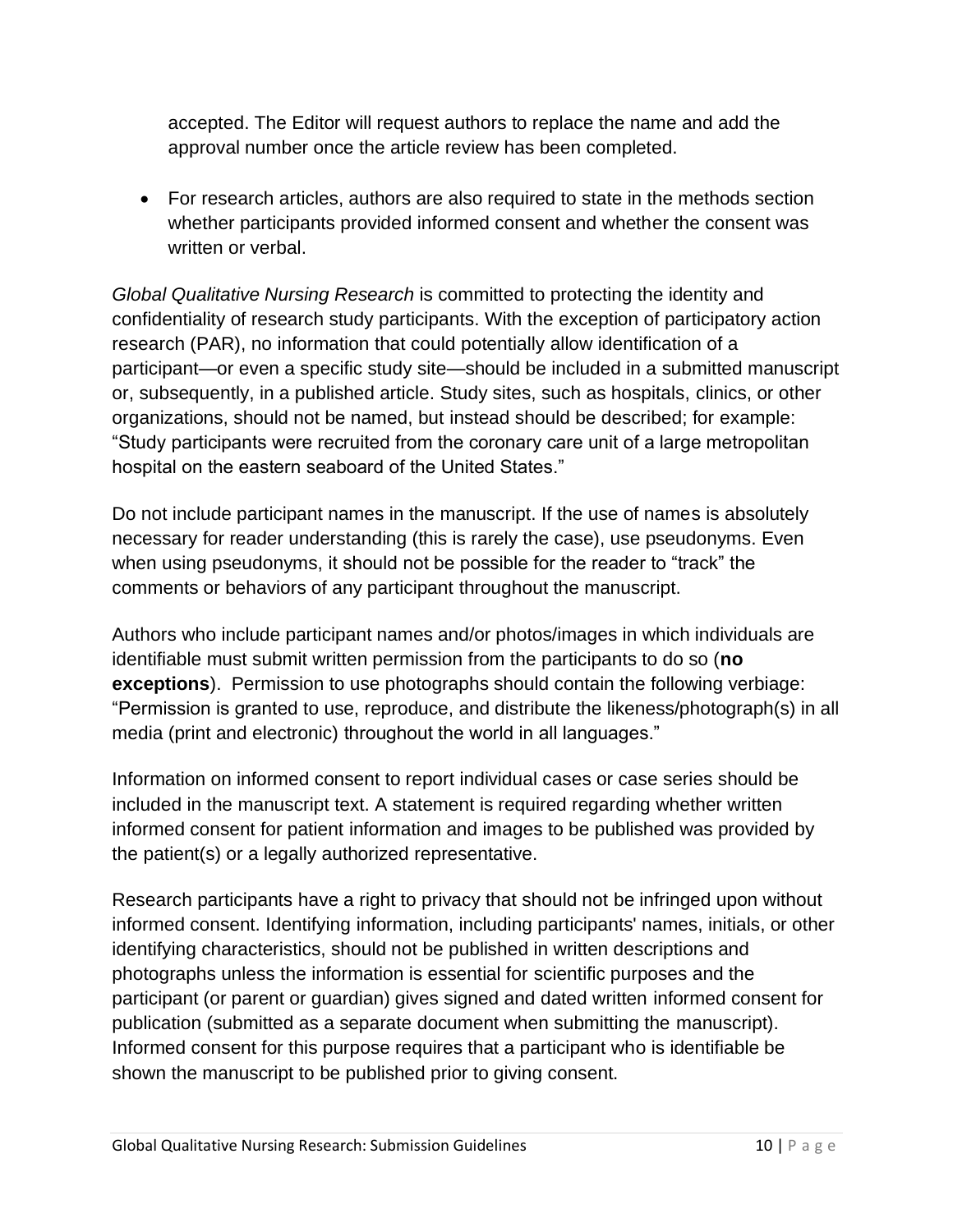accepted. The Editor will request authors to replace the name and add the approval number once the article review has been completed.

• For research articles, authors are also required to state in the methods section whether participants provided informed consent and whether the consent was written or verbal.

*Global Qualitative Nursing Research* is committed to protecting the identity and confidentiality of research study participants. With the exception of participatory action research (PAR), no information that could potentially allow identification of a participant—or even a specific study site—should be included in a submitted manuscript or, subsequently, in a published article. Study sites, such as hospitals, clinics, or other organizations, should not be named, but instead should be described; for example: "Study participants were recruited from the coronary care unit of a large metropolitan hospital on the eastern seaboard of the United States."

Do not include participant names in the manuscript. If the use of names is absolutely necessary for reader understanding (this is rarely the case), use pseudonyms. Even when using pseudonyms, it should not be possible for the reader to "track" the comments or behaviors of any participant throughout the manuscript.

Authors who include participant names and/or photos/images in which individuals are identifiable must submit written permission from the participants to do so (**no exceptions**). Permission to use photographs should contain the following verbiage: "Permission is granted to use, reproduce, and distribute the likeness/photograph(s) in all media (print and electronic) throughout the world in all languages."

Information on informed consent to report individual cases or case series should be included in the manuscript text. A statement is required regarding whether written informed consent for patient information and images to be published was provided by the patient(s) or a legally authorized representative.

Research participants have a right to privacy that should not be infringed upon without informed consent. Identifying information, including participants' names, initials, or other identifying characteristics, should not be published in written descriptions and photographs unless the information is essential for scientific purposes and the participant (or parent or guardian) gives signed and dated written informed consent for publication (submitted as a separate document when submitting the manuscript). Informed consent for this purpose requires that a participant who is identifiable be shown the manuscript to be published prior to giving consent.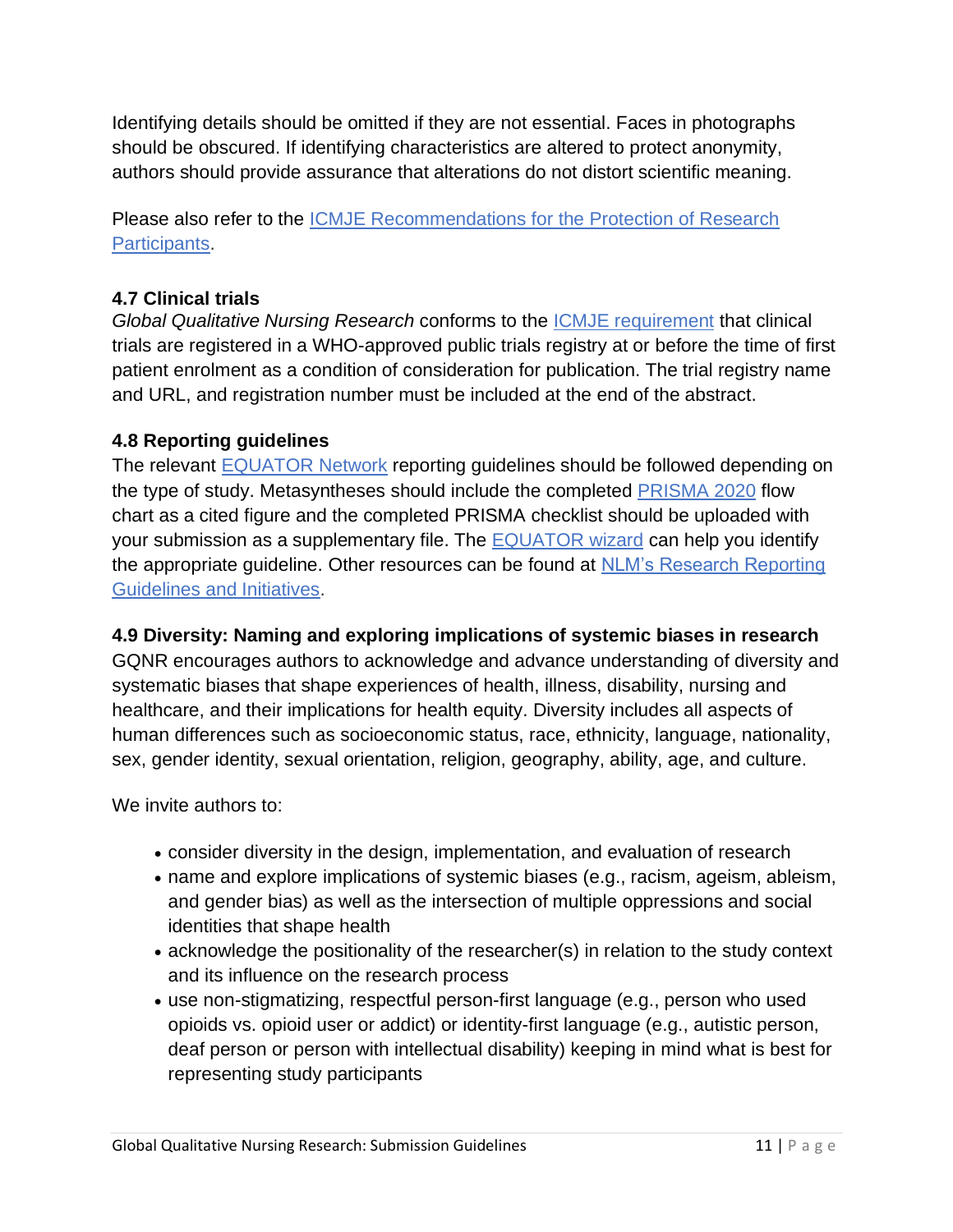Identifying details should be omitted if they are not essential. Faces in photographs should be obscured. If identifying characteristics are altered to protect anonymity, authors should provide assurance that alterations do not distort scientific meaning.

Please also refer to the [ICMJE Recommendations for the Protection of Research](http://www.icmje.org/recommendations/browse/roles-and-responsibilities/protection-of-research-participants.html)  [Participants.](http://www.icmje.org/recommendations/browse/roles-and-responsibilities/protection-of-research-participants.html)

# **4.7 Clinical trials**

*Global Qualitative Nursing Research* conforms to the [ICMJE requirement](http://www.icmje.org/recommendations/browse/publishing-and-editorial-issues/clinical-trial-registration.html) that clinical trials are registered in a WHO-approved public trials registry at or before the time of first patient enrolment as a condition of consideration for publication. The trial registry name and URL, and registration number must be included at the end of the abstract.

## **4.8 Reporting guidelines**

The relevant [EQUATOR Network](http://www.equator-network.org/) reporting guidelines should be followed depending on the type of study. Metasyntheses should include the completed [PRISMA](https://www.equator-network.org/reporting-guidelines/prisma/) 2020 flow chart as a cited figure and the completed PRISMA checklist should be uploaded with your submission as a supplementary file. The [EQUATOR wizard](https://www.equator-network.org/toolkits/selecting-the-appropriate-reporting-guideline/) can help you identify the appropriate guideline. Other resources can be found at [NLM's Research Reporting](http://www.nlm.nih.gov/services/research_report_guide.html)  [Guidelines and Initiatives.](http://www.nlm.nih.gov/services/research_report_guide.html)

# **4.9 Diversity: Naming and exploring implications of systemic biases in research**

GQNR encourages authors to acknowledge and advance understanding of diversity and systematic biases that shape experiences of health, illness, disability, nursing and healthcare, and their implications for health equity. Diversity includes all aspects of human differences such as socioeconomic status, race, ethnicity, language, nationality, sex, gender identity, sexual orientation, religion, geography, ability, age, and culture.

We invite authors to:

- consider diversity in the design, implementation, and evaluation of research
- name and explore implications of systemic biases (e.g., racism, ageism, ableism, and gender bias) as well as the intersection of multiple oppressions and social identities that shape health
- acknowledge the positionality of the researcher(s) in relation to the study context and its influence on the research process
- use non-stigmatizing, respectful person-first language (e.g., person who used opioids vs. opioid user or addict) or identity-first language (e.g., autistic person, deaf person or person with intellectual disability) keeping in mind what is best for representing study participants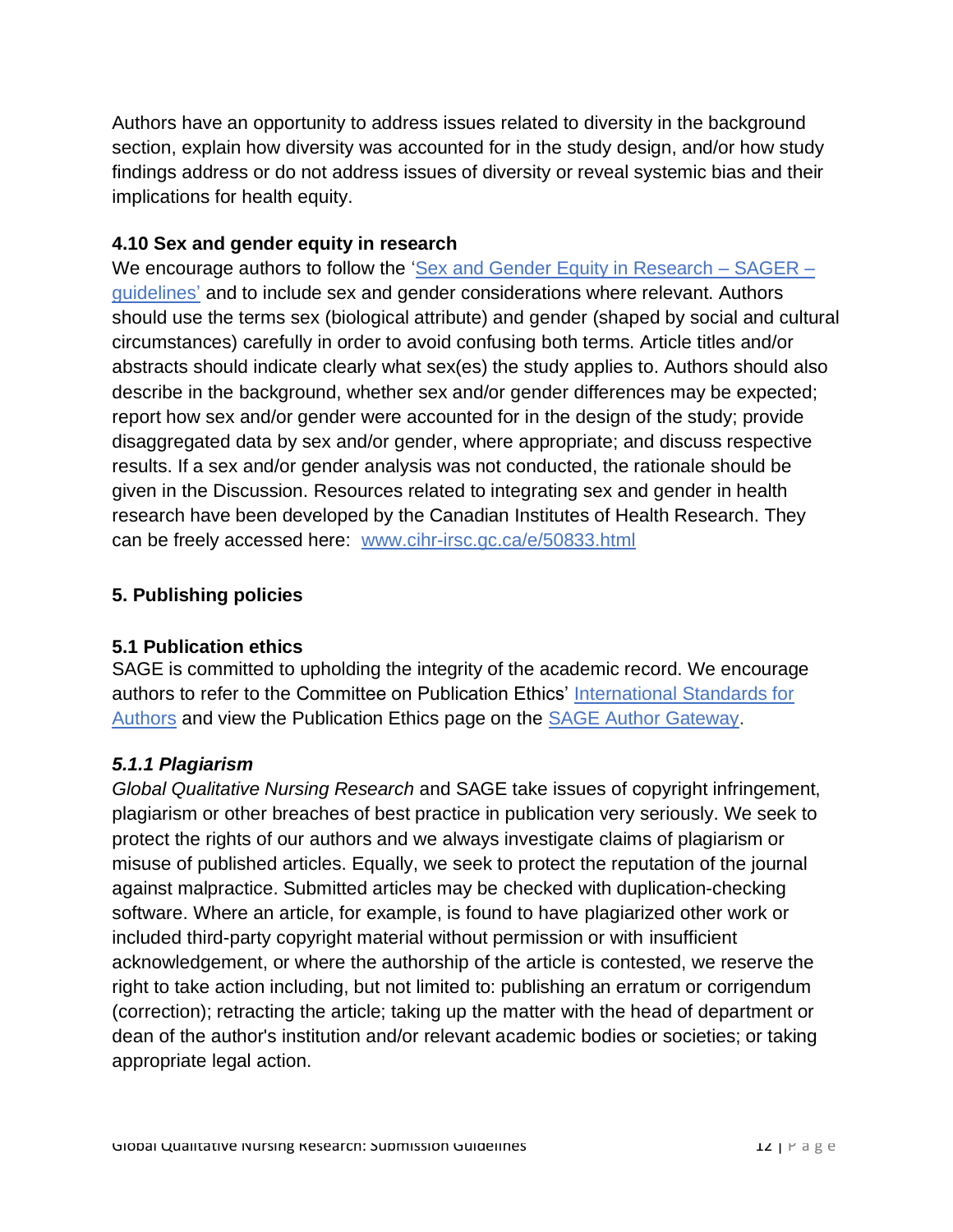Authors have an opportunity to address issues related to diversity in the background section, explain how diversity was accounted for in the study design, and/or how study findings address or do not address issues of diversity or reveal systemic bias and their implications for health equity.

### **4.10 Sex and gender equity in research**

We encourage authors to follow the ['Sex and Gender Equity in Research –](https://researchintegrityjournal.biomedcentral.com/articles/10.1186/s41073-016-0007-6) SAGER – [guidelines'](https://researchintegrityjournal.biomedcentral.com/articles/10.1186/s41073-016-0007-6) and to include sex and gender considerations where relevant. Authors should use the terms sex (biological attribute) and gender (shaped by social and cultural circumstances) carefully in order to avoid confusing both terms. Article titles and/or abstracts should indicate clearly what sex(es) the study applies to. Authors should also describe in the background, whether sex and/or gender differences may be expected; report how sex and/or gender were accounted for in the design of the study; provide disaggregated data by sex and/or gender, where appropriate; and discuss respective results. If a sex and/or gender analysis was not conducted, the rationale should be given in the Discussion. Resources related to integrating sex and gender in health research have been developed by the Canadian Institutes of Health Research. They can be freely accessed here: [www.cihr-irsc.gc.ca/e/50833.html](http://www.cihr-irsc.gc.ca/e/50833.html)

## **5. Publishing policies**

#### **5.1 Publication ethics**

SAGE is committed to upholding the integrity of the academic record. We encourage authors to refer to the Committee on Publication Ethics' [International Standards for](http://publicationethics.org/files/International%20standards_authors_for%20website_11_Nov_2011.pdf)  [Authors](http://publicationethics.org/files/International%20standards_authors_for%20website_11_Nov_2011.pdf) and view the Publication Ethics page on the [SAGE Author Gateway.](http://www.uk.sagepub.com/journalgateway/ethics.htm)

#### *5.1.1 Plagiarism*

*Global Qualitative Nursing Research* and SAGE take issues of copyright infringement, plagiarism or other breaches of best practice in publication very seriously. We seek to protect the rights of our authors and we always investigate claims of plagiarism or misuse of published articles. Equally, we seek to protect the reputation of the journal against malpractice. Submitted articles may be checked with duplication-checking software. Where an article, for example, is found to have plagiarized other work or included third-party copyright material without permission or with insufficient acknowledgement, or where the authorship of the article is contested, we reserve the right to take action including, but not limited to: publishing an erratum or corrigendum (correction); retracting the article; taking up the matter with the head of department or dean of the author's institution and/or relevant academic bodies or societies; or taking appropriate legal action.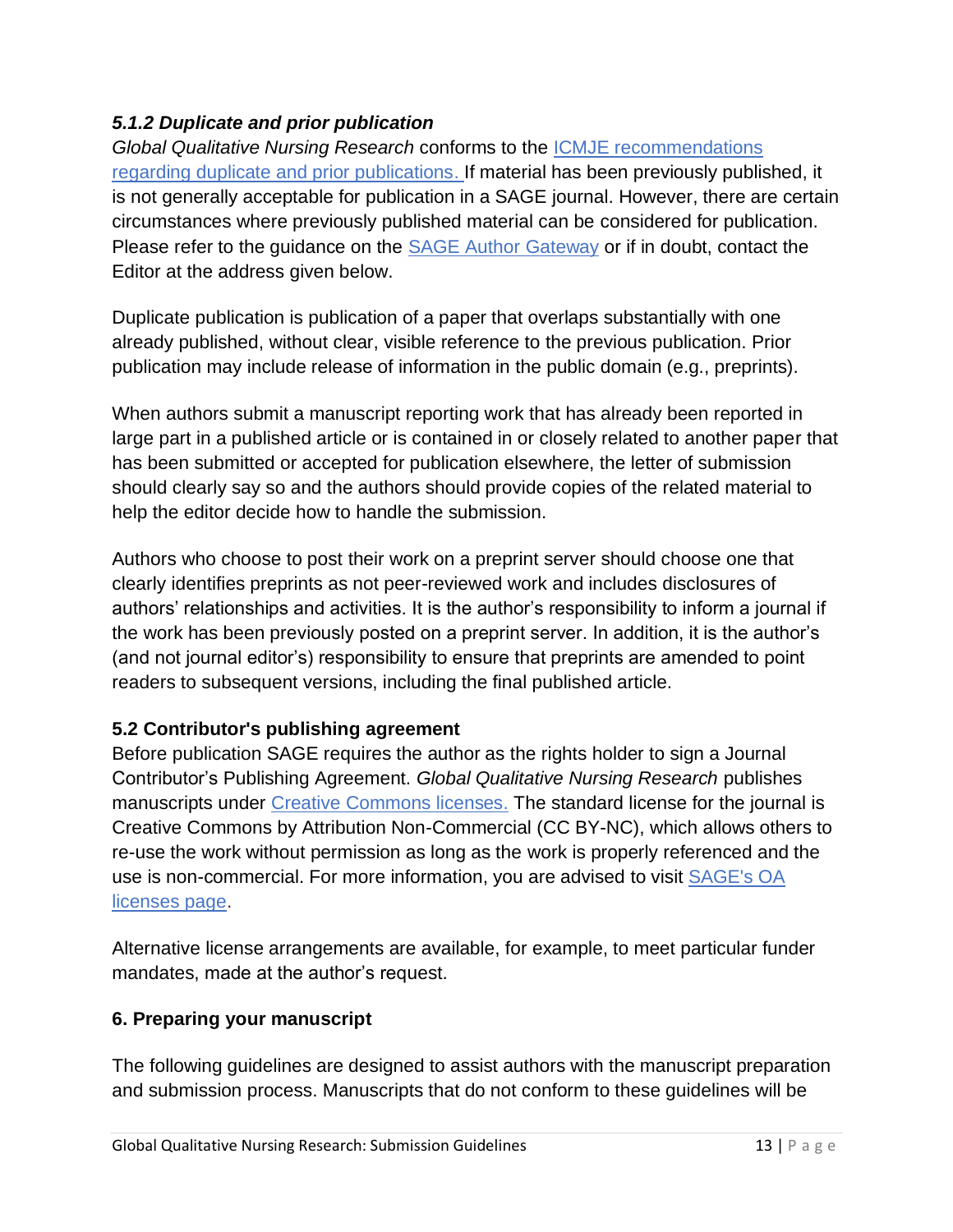# *5.1.2 Duplicate and prior publication*

*Global Qualitative Nursing Research* conforms to the [ICMJE recommendations](http://www.icmje.org/recommendations/browse/publishing-and-editorial-issues/overlapping-publications.html)  [regarding duplicate and prior publications.](http://www.icmje.org/recommendations/browse/publishing-and-editorial-issues/overlapping-publications.html) If material has been previously published, it is not generally acceptable for publication in a SAGE journal. However, there are certain circumstances where previously published material can be considered for publication. Please refer to the guidance on the **SAGE** Author Gateway or if in doubt, contact the Editor at the address given below.

Duplicate publication is publication of a paper that overlaps substantially with one already published, without clear, visible reference to the previous publication. Prior publication may include release of information in the public domain (e.g., preprints).

When authors submit a manuscript reporting work that has already been reported in large part in a published article or is contained in or closely related to another paper that has been submitted or accepted for publication elsewhere, the letter of submission should clearly say so and the authors should provide copies of the related material to help the editor decide how to handle the submission.

Authors who choose to post their work on a preprint server should choose one that clearly identifies preprints as not peer-reviewed work and includes disclosures of authors' relationships and activities. It is the author's responsibility to inform a journal if the work has been previously posted on a preprint server. In addition, it is the author's (and not journal editor's) responsibility to ensure that preprints are amended to point readers to subsequent versions, including the final published article.

#### **5.2 Contributor's publishing agreement**

Before publication SAGE requires the author as the rights holder to sign a Journal Contributor's Publishing Agreement. *Global Qualitative Nursing Research* publishes manuscripts under Creative [Commons licenses.](http://creativecommons.org/licenses/) The standard license for the journal is Creative Commons by Attribution Non-Commercial (CC BY-NC), which allows others to re-use the work without permission as long as the work is properly referenced and the use is non-commercial. For more information, you are advised to visit [SAGE's OA](https://www.sagepub.com/re-use-of-open-access-content)  [licenses page.](https://www.sagepub.com/re-use-of-open-access-content)

Alternative license arrangements are available, for example, to meet particular funder mandates, made at the author's request.

#### **6. Preparing your manuscript**

The following guidelines are designed to assist authors with the manuscript preparation and submission process. Manuscripts that do not conform to these guidelines will be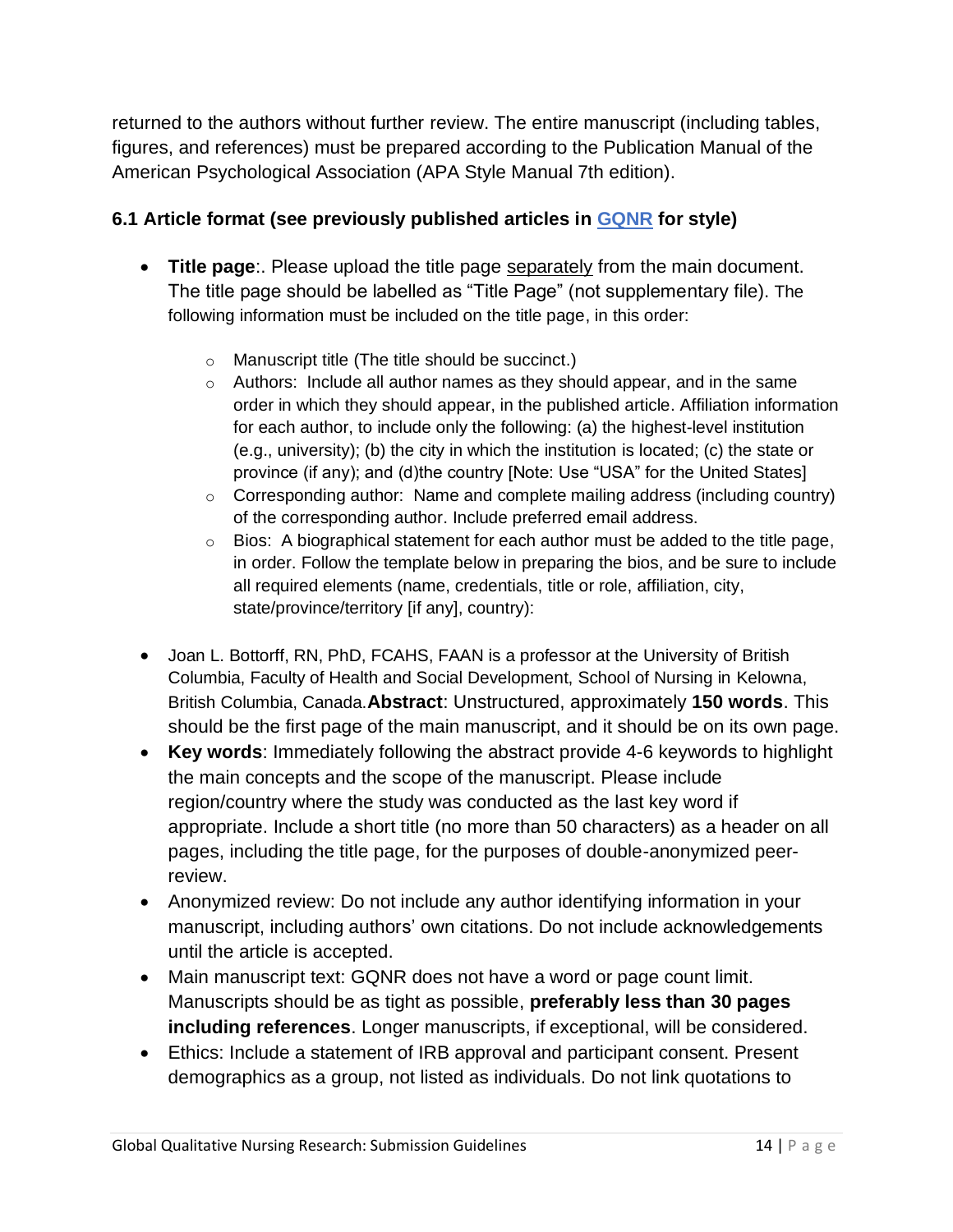returned to the authors without further review. The entire manuscript (including tables, figures, and references) must be prepared according to the Publication Manual of the American Psychological Association (APA Style Manual 7th edition).

# **6.1 Article format (see previously published articles in [GQNR](https://journals.sagepub.com/home/qhr) for style)**

- **Title page**:. Please upload the title page separately from the main document. The title page should be labelled as "Title Page" (not supplementary file). The following information must be included on the title page, in this order:
	- o Manuscript title (The title should be succinct.)
	- $\circ$  Authors: Include all author names as they should appear, and in the same order in which they should appear, in the published article. Affiliation information for each author, to include only the following: (a) the highest-level institution (e.g., university); (b) the city in which the institution is located; (c) the state or province (if any); and (d)the country [Note: Use "USA" for the United States]
	- $\circ$  Corresponding author: Name and complete mailing address (including country) of the corresponding author. Include preferred email address.
	- $\circ$  Bios: A biographical statement for each author must be added to the title page, in order. Follow the template below in preparing the bios, and be sure to include all required elements (name, credentials, title or role, affiliation, city, state/province/territory [if any], country):
- Joan L. Bottorff, RN, PhD, FCAHS, FAAN is a professor at the University of British Columbia, Faculty of Health and Social Development, School of Nursing in Kelowna, British Columbia, Canada.**Abstract**: Unstructured, approximately **150 words**. This should be the first page of the main manuscript, and it should be on its own page.
- **Key words**: Immediately following the abstract provide 4-6 keywords to highlight the main concepts and the scope of the manuscript. Please include region/country where the study was conducted as the last key word if appropriate. Include a short title (no more than 50 characters) as a header on all pages, including the title page, for the purposes of double-anonymized peerreview.
- Anonymized review: Do not include any author identifying information in your manuscript, including authors' own citations. Do not include acknowledgements until the article is accepted.
- Main manuscript text: GQNR does not have a word or page count limit. Manuscripts should be as tight as possible, **preferably less than 30 pages including references**. Longer manuscripts, if exceptional, will be considered.
- Ethics: Include a statement of IRB approval and participant consent. Present demographics as a group, not listed as individuals. Do not link quotations to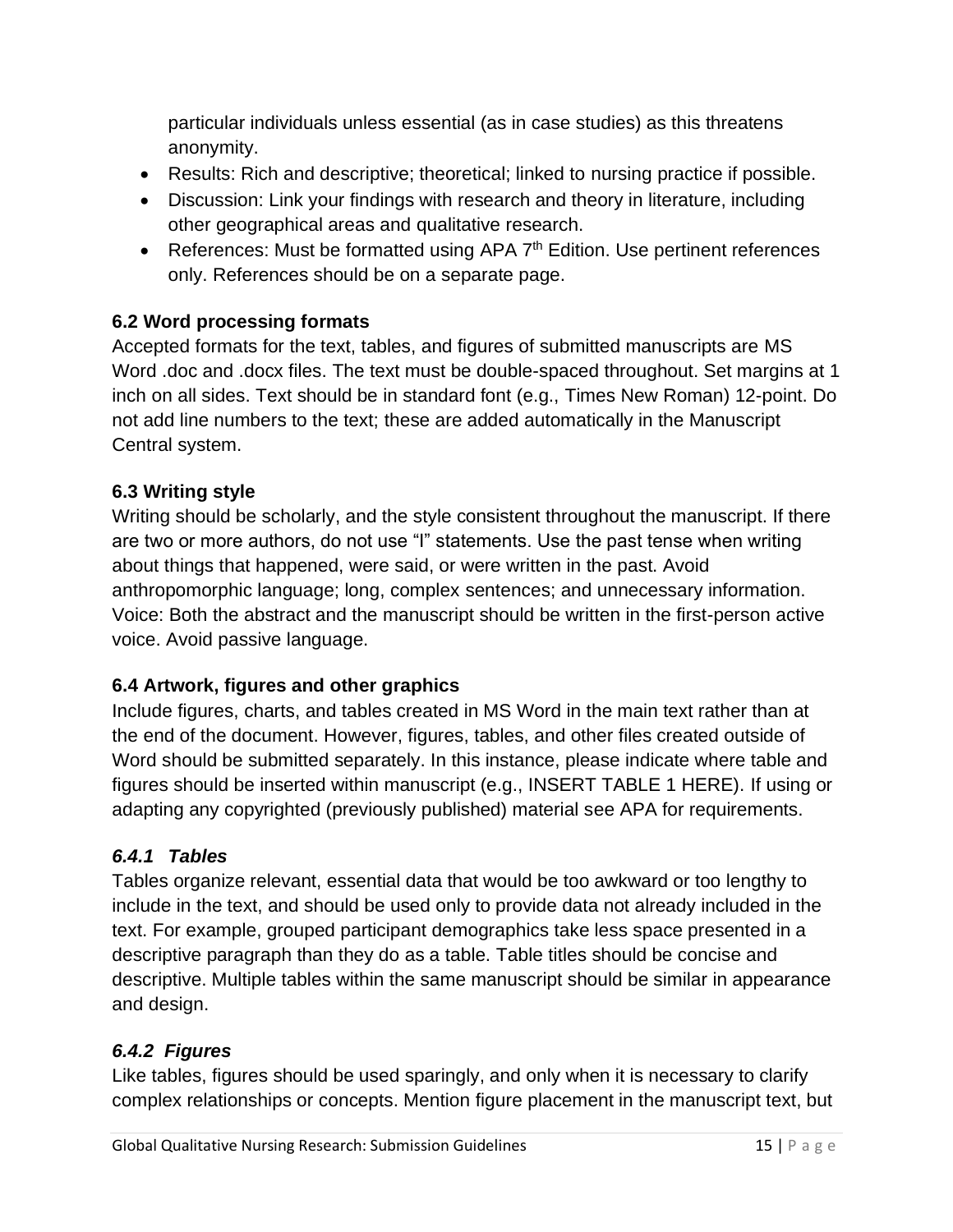particular individuals unless essential (as in case studies) as this threatens anonymity.

- Results: Rich and descriptive; theoretical; linked to nursing practice if possible.
- Discussion: Link your findings with research and theory in literature, including other geographical areas and qualitative research.
- References: Must be formatted using APA 7<sup>th</sup> Edition. Use pertinent references only. References should be on a separate page.

# **6.2 Word processing formats**

Accepted formats for the text, tables, and figures of submitted manuscripts are MS Word .doc and .docx files. The text must be double-spaced throughout. Set margins at 1 inch on all sides. Text should be in standard font (e.g., Times New Roman) 12-point. Do not add line numbers to the text; these are added automatically in the Manuscript Central system.

## **6.3 Writing style**

Writing should be scholarly, and the style consistent throughout the manuscript. If there are two or more authors, do not use "I" statements. Use the past tense when writing about things that happened, were said, or were written in the past. Avoid anthropomorphic language; long, complex sentences; and unnecessary information. Voice: Both the abstract and the manuscript should be written in the first-person active voice. Avoid passive language.

# **6.4 Artwork, figures and other graphics**

Include figures, charts, and tables created in MS Word in the main text rather than at the end of the document. However, figures, tables, and other files created outside of Word should be submitted separately. In this instance, please indicate where table and figures should be inserted within manuscript (e.g., INSERT TABLE 1 HERE). If using or adapting any copyrighted (previously published) material see APA for requirements.

# *6.4.1 Tables*

Tables organize relevant, essential data that would be too awkward or too lengthy to include in the text, and should be used only to provide data not already included in the text. For example, grouped participant demographics take less space presented in a descriptive paragraph than they do as a table. Table titles should be concise and descriptive. Multiple tables within the same manuscript should be similar in appearance and design.

#### *6.4.2 Figures*

Like tables, figures should be used sparingly, and only when it is necessary to clarify complex relationships or concepts. Mention figure placement in the manuscript text, but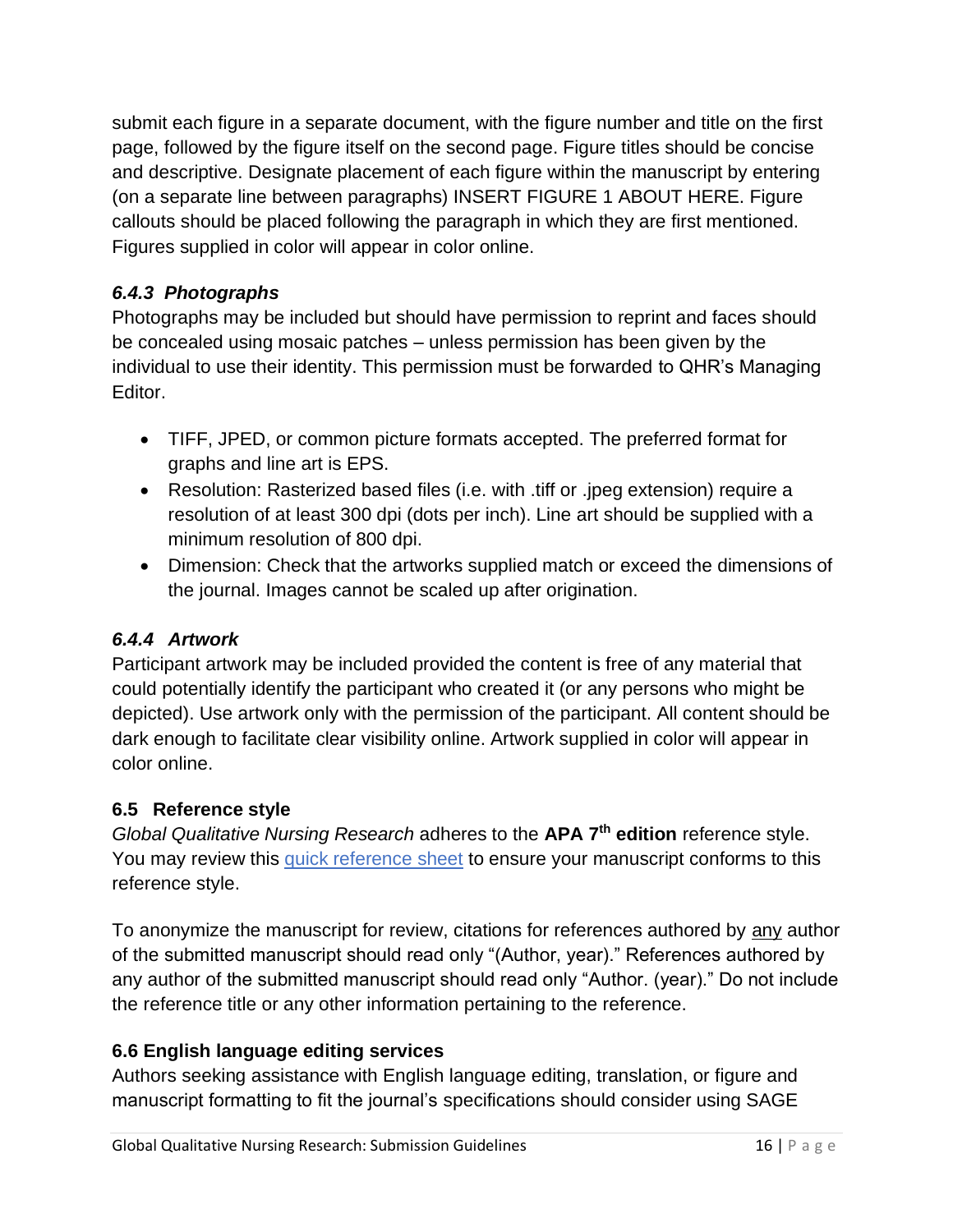submit each figure in a separate document, with the figure number and title on the first page, followed by the figure itself on the second page. Figure titles should be concise and descriptive. Designate placement of each figure within the manuscript by entering (on a separate line between paragraphs) INSERT FIGURE 1 ABOUT HERE. Figure callouts should be placed following the paragraph in which they are first mentioned. Figures supplied in color will appear in color online.

# *6.4.3 Photographs*

Photographs may be included but should have permission to reprint and faces should be concealed using mosaic patches – unless permission has been given by the individual to use their identity. This permission must be forwarded to QHR's Managing Editor.

- TIFF, JPED, or common picture formats accepted. The preferred format for graphs and line art is EPS.
- Resolution: Rasterized based files (i.e. with .tiff or .jpeg extension) require a resolution of at least 300 dpi (dots per inch). Line art should be supplied with a minimum resolution of 800 dpi.
- Dimension: Check that the artworks supplied match or exceed the dimensions of the journal. Images cannot be scaled up after origination.

# *6.4.4 Artwork*

Participant artwork may be included provided the content is free of any material that could potentially identify the participant who created it (or any persons who might be depicted). Use artwork only with the permission of the participant. All content should be dark enough to facilitate clear visibility online. Artwork supplied in color will appear in color online.

# **6.5 Reference style**

*Global Qualitative Nursing Research* adheres to the **APA 7 th edition** reference style. You may review this [quick reference](https://apastyle.apa.org/instructional-aids/reference-guide.pdf) sheet to ensure your manuscript conforms to this reference style.

To anonymize the manuscript for review, citations for references authored by any author of the submitted manuscript should read only "(Author, year)." References authored by any author of the submitted manuscript should read only "Author. (year)." Do not include the reference title or any other information pertaining to the reference.

# **6.6 English language editing services**

Authors seeking assistance with English language editing, translation, or figure and manuscript formatting to fit the journal's specifications should consider using SAGE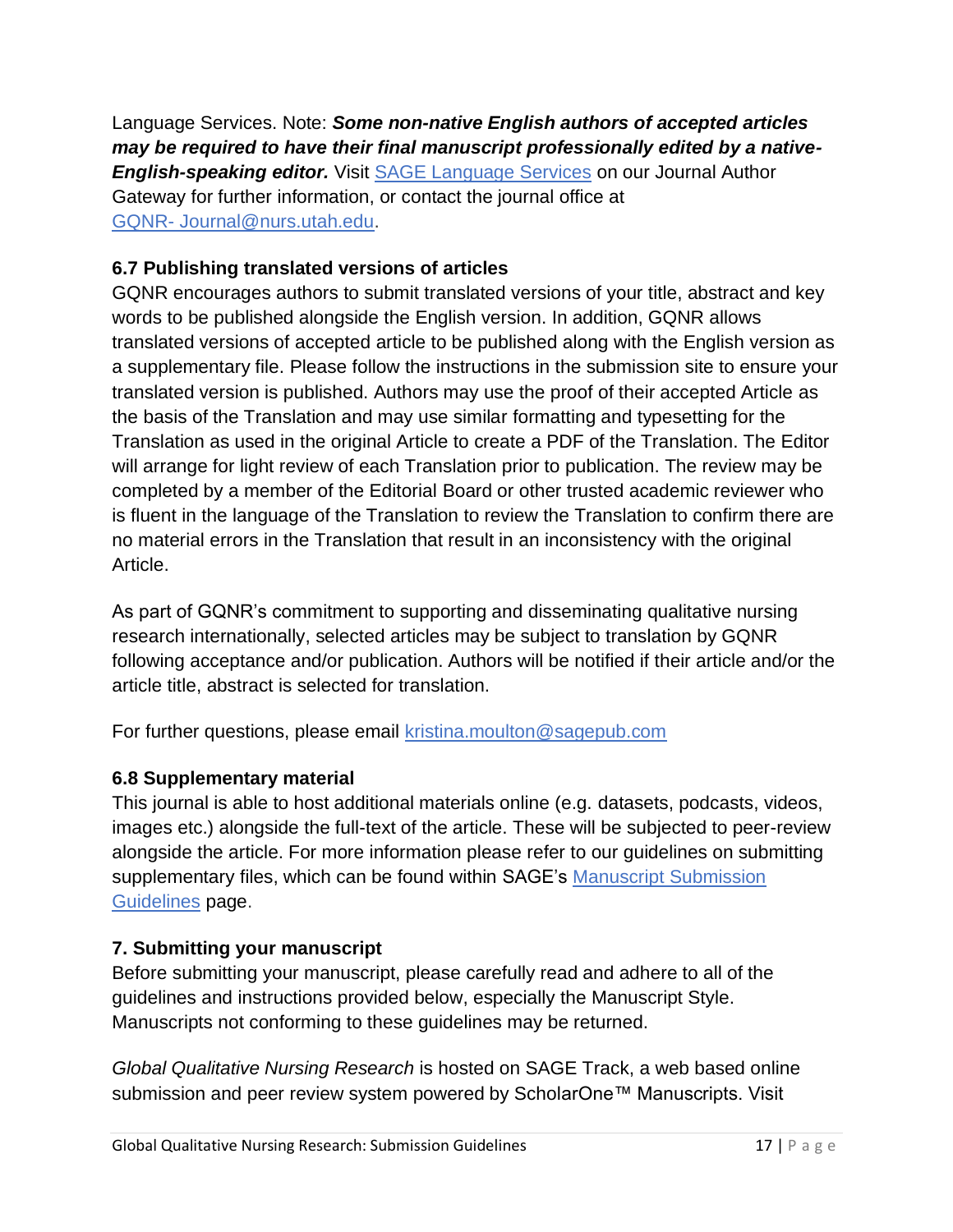Language Services. Note: *Some non-native English authors of accepted articles may be required to have their final manuscript professionally edited by a native-English-speaking editor.* Visit [SAGE Language Services](http://languageservices.sagepub.com/en/) on our Journal Author Gateway for further information, or contact the journal office at GQNR- [Journal@nurs.utah.edu.](mailto:GQNR- Journal@nurs.utah.edu)

## **6.7 Publishing translated versions of articles**

GQNR encourages authors to submit translated versions of your title, abstract and key words to be published alongside the English version. In addition, GQNR allows translated versions of accepted article to be published along with the English version as a supplementary file. Please follow the instructions in the submission site to ensure your translated version is published. Authors may use the proof of their accepted Article as the basis of the Translation and may use similar formatting and typesetting for the Translation as used in the original Article to create a PDF of the Translation. The Editor will arrange for light review of each Translation prior to publication. The review may be completed by a member of the Editorial Board or other trusted academic reviewer who is fluent in the language of the Translation to review the Translation to confirm there are no material errors in the Translation that result in an inconsistency with the original Article.

As part of GQNR's commitment to supporting and disseminating qualitative nursing research internationally, selected articles may be subject to translation by GQNR following acceptance and/or publication. Authors will be notified if their article and/or the article title, abstract is selected for translation.

For further questions, please email [kristina.moulton@sagepub.com](mailto:kristina.moulton@sagepub.com)

#### **6.8 Supplementary material**

This journal is able to host additional materials online (e.g. datasets, podcasts, videos, images etc.) alongside the full-text of the article. These will be subjected to peer-review alongside the article. For more information please refer to our guidelines on submitting supplementary files, which can be found within SAGE's [Manuscript Submission](https://www.sagepub.com/manuscript-submission-guidelines)  [Guidelines](https://www.sagepub.com/manuscript-submission-guidelines) page.

#### **7. Submitting your manuscript**

Before submitting your manuscript, please carefully read and adhere to all of the guidelines and instructions provided below, especially the Manuscript Style. Manuscripts not conforming to these guidelines may be returned.

*Global Qualitative Nursing Research* is hosted on SAGE Track, a web based online submission and peer review system powered by ScholarOne™ Manuscripts. Visit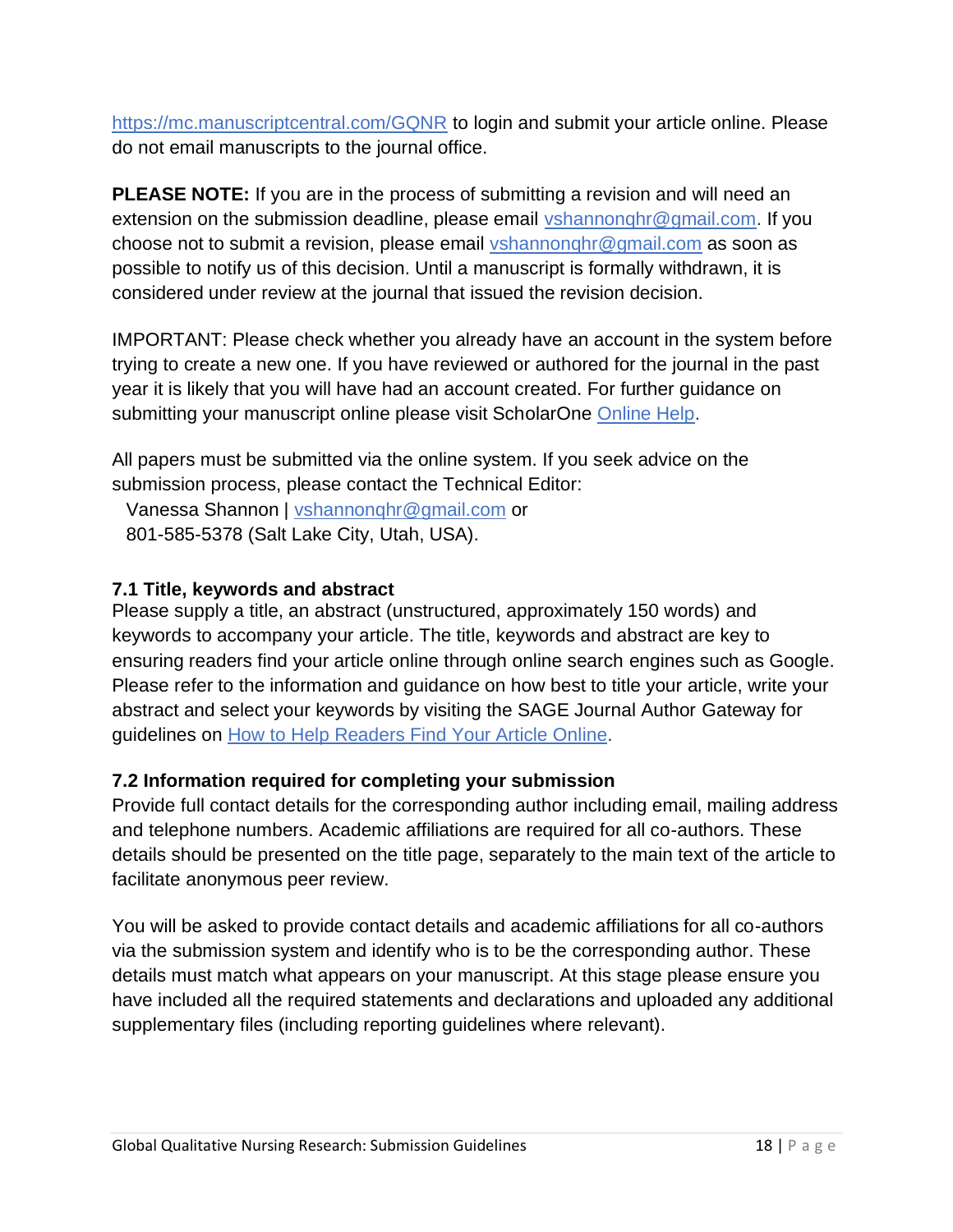[https://mc.manuscriptcentral.com/GQNR](https://mc.manuscriptcentral.com/gqn) to login and submit your article online. Please do not email manuscripts to the journal office.

**PLEASE NOTE:** If you are in the process of submitting a revision and will need an extension on the submission deadline, please email vshannonghr@gmail.com. If you choose not to submit a revision, please email [vshannonqhr@gmail.com](mailto:vshannonqhr@gmail.com) as soon as possible to notify us of this decision. Until a manuscript is formally withdrawn, it is considered under review at the journal that issued the revision decision.

IMPORTANT: Please check whether you already have an account in the system before trying to create a new one. If you have reviewed or authored for the journal in the past year it is likely that you will have had an account created. For further guidance on submitting your manuscript online please visit ScholarOne [Online Help.](http://mchelp.manuscriptcentral.com/gethelpnow/)

All papers must be submitted via the online system. If you seek advice on the submission process, please contact the Technical Editor:

Vanessa Shannon | [vshannonqhr@gmail.com](http://vshannonqhr@gmail.com/) or 801-585-5378 (Salt Lake City, Utah, USA).

#### **7.1 Title, keywords and abstract**

Please supply a title, an abstract (unstructured, approximately 150 words) and keywords to accompany your article. The title, keywords and abstract are key to ensuring readers find your article online through online search engines such as Google. Please refer to the information and guidance on how best to title your article, write your abstract and select your keywords by visiting the SAGE Journal Author Gateway for guidelines on [How to Help Readers Find Your Article Online.](https://www.sagepub.com/help-readers-find-your-article)

# **7.2 Information required for completing your submission**

Provide full contact details for the corresponding author including email, mailing address and telephone numbers. Academic affiliations are required for all co-authors. These details should be presented on the title page, separately to the main text of the article to facilitate anonymous peer review.

You will be asked to provide contact details and academic affiliations for all co-authors via the submission system and identify who is to be the corresponding author. These details must match what appears on your manuscript. At this stage please ensure you have included all the required statements and declarations and uploaded any additional supplementary files (including reporting guidelines where relevant).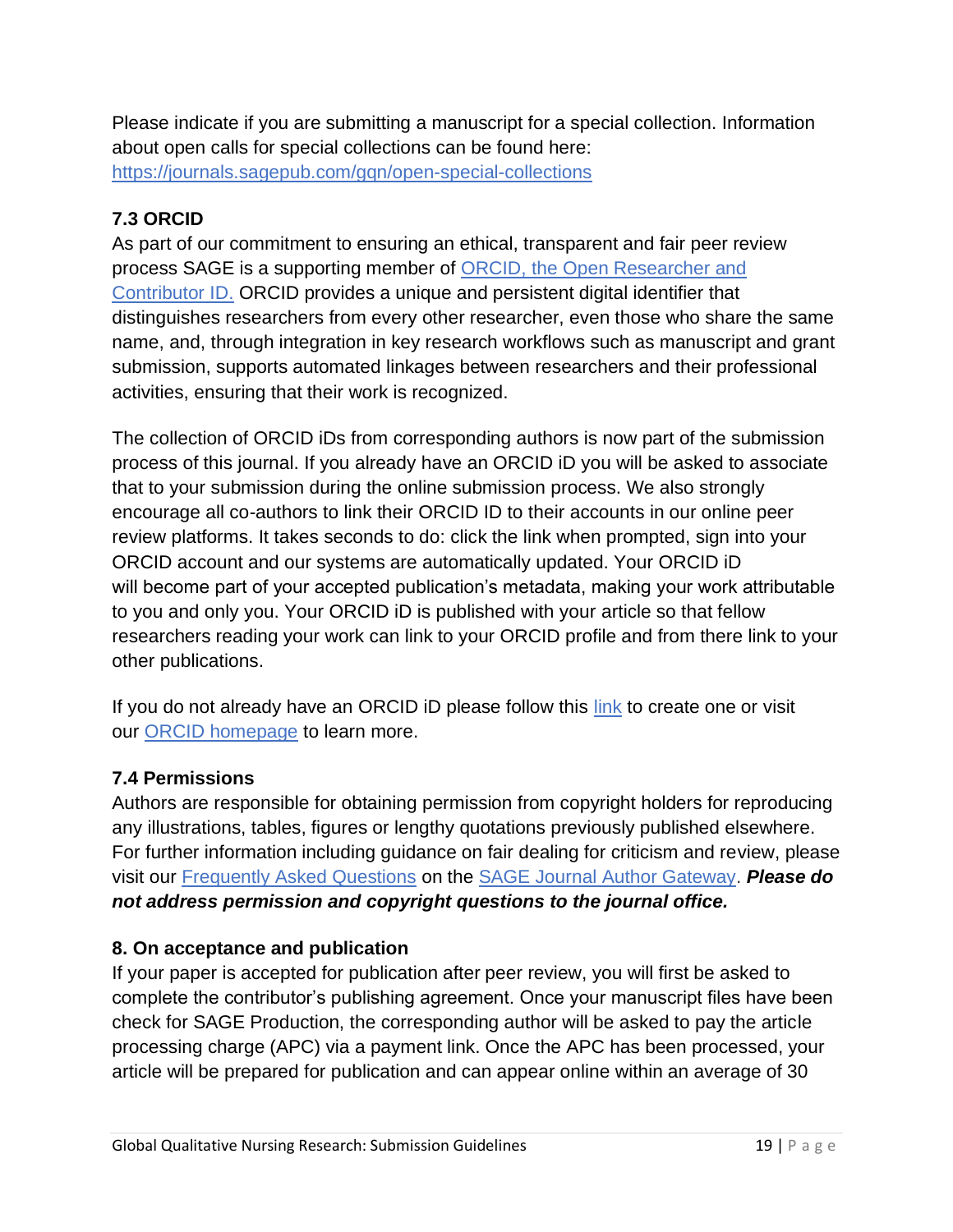Please indicate if you are submitting a manuscript for a special collection. Information about open calls for special collections can be found here: <https://journals.sagepub.com/gqn/open-special-collections>

# **7.3 ORCID**

As part of our commitment to ensuring an ethical, transparent and fair peer review process SAGE is a supporting member of [ORCID, the Open Researcher and](https://orcid.org/)  [Contributor ID.](https://orcid.org/) ORCID provides a unique and persistent digital identifier that distinguishes researchers from every other researcher, even those who share the same name, and, through integration in key research workflows such as manuscript and grant submission, supports automated linkages between researchers and their professional activities, ensuring that their work is recognized.

The collection of ORCID iDs from corresponding authors is now part of the submission process of this journal. If you already have an ORCID iD you will be asked to associate that to your submission during the online submission process. We also strongly encourage all co-authors to link their ORCID ID to their accounts in our online peer review platforms. It takes seconds to do: click the link when prompted, sign into your ORCID account and our systems are automatically updated. Your ORCID iD will become part of your accepted publication's metadata, making your work attributable to you and only you. Your ORCID iD is published with your article so that fellow researchers reading your work can link to your ORCID profile and from there link to your other publications.

If you do not already have an ORCID iD please follow this [link](https://orcid.org/register) to create one or visit our [ORCID homepage](https://www.sagepub.com/orcid) to learn more.

# **7.4 Permissions**

Authors are responsible for obtaining permission from copyright holders for reproducing any illustrations, tables, figures or lengthy quotations previously published elsewhere. For further information including guidance on fair dealing for criticism and review, please visit our [Frequently Asked Questions](https://www.sagepub.com/journal-author-faqs) on the [SAGE Journal Author Gateway.](http://www.uk.sagepub.com/journalgateway/pubPolicies.htm) *Please do not address permission and copyright questions to the journal office.*

# **8. On acceptance and publication**

If your paper is accepted for publication after peer review, you will first be asked to complete the contributor's publishing agreement. Once your manuscript files have been check for SAGE Production, the corresponding author will be asked to pay the article processing charge (APC) via a payment link. Once the APC has been processed, your article will be prepared for publication and can appear online within an average of 30